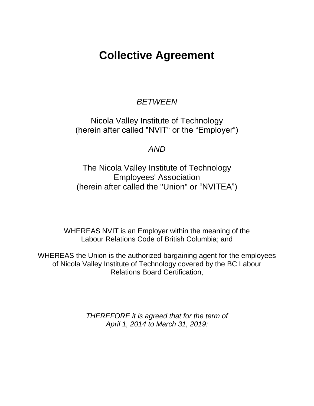# **Collective Agreement**

## *BETWEEN*

Nicola Valley Institute of Technology (herein after called "NVIT" or the "Employer")

*AND*

The Nicola Valley Institute of Technology Employees' Association (herein after called the "Union" or "NVITEA")

WHEREAS NVIT is an Employer within the meaning of the Labour Relations Code of British Columbia; and

WHEREAS the Union is the authorized bargaining agent for the employees of Nicola Valley Institute of Technology covered by the BC Labour Relations Board Certification,

> *THEREFORE it is agreed that for the term of April 1, 2014 to March 31, 2019:*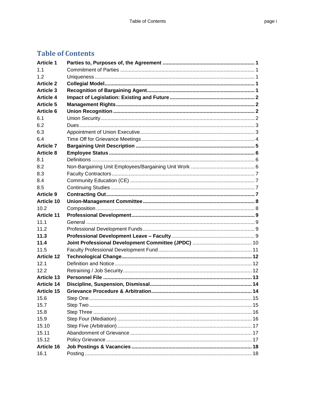## **Table of Contents**

| <b>Article 1</b>  |  |
|-------------------|--|
| 1.1               |  |
| 1.2               |  |
| <b>Article 2</b>  |  |
| <b>Article 3</b>  |  |
| <b>Article 4</b>  |  |
| <b>Article 5</b>  |  |
| <b>Article 6</b>  |  |
| 6.1               |  |
| 6.2               |  |
| 6.3               |  |
| 6.4               |  |
| <b>Article 7</b>  |  |
| <b>Article 8</b>  |  |
| 8.1               |  |
| 8.2               |  |
| 8.3               |  |
| 8.4               |  |
| 8.5               |  |
| <b>Article 9</b>  |  |
| <b>Article 10</b> |  |
| 10.2              |  |
| <b>Article 11</b> |  |
| 11.1              |  |
| 11.2              |  |
| 11.3              |  |
| 11.4              |  |
| 11.5              |  |
| <b>Article 12</b> |  |
| 12.1              |  |
| 12.2              |  |
| <b>Article 13</b> |  |
| <b>Article 14</b> |  |
| <b>Article 15</b> |  |
| 15.6              |  |
| 15.7              |  |
| 15.8              |  |
| 15.9              |  |
| 15.10             |  |
| 15.11             |  |
| 15.12             |  |
| Article 16        |  |
| 16.1              |  |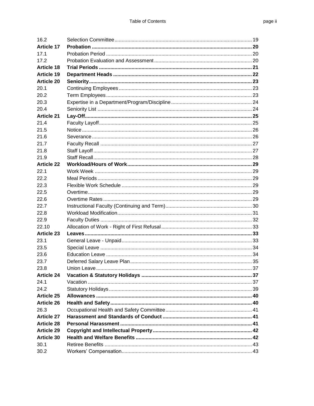| 16.2              |  |
|-------------------|--|
| <b>Article 17</b> |  |
| 17.1              |  |
| 17.2              |  |
| <b>Article 18</b> |  |
| <b>Article 19</b> |  |
| <b>Article 20</b> |  |
| 20.1              |  |
| 20.2              |  |
| 20.3              |  |
| 20.4              |  |
| <b>Article 21</b> |  |
| 21.4              |  |
| 21.5              |  |
| 21.6              |  |
| 21.7              |  |
| 21.8              |  |
| 21.9              |  |
| <b>Article 22</b> |  |
| 22.1              |  |
| 22.2              |  |
| 22.3              |  |
| 22.5              |  |
| 22.6              |  |
| 22.7              |  |
| 22.8              |  |
| 22.9              |  |
| 22.10             |  |
| <b>Article 23</b> |  |
| 23.1              |  |
| 23.5              |  |
| 23.6              |  |
| 23.7              |  |
| 23.8              |  |
| <b>Article 24</b> |  |
| 24.1              |  |
| 24.2              |  |
| <b>Article 25</b> |  |
| <b>Article 26</b> |  |
| 26.3              |  |
| <b>Article 27</b> |  |
| <b>Article 28</b> |  |
| <b>Article 29</b> |  |
| Article 30        |  |
| 30.1              |  |
| 30.2              |  |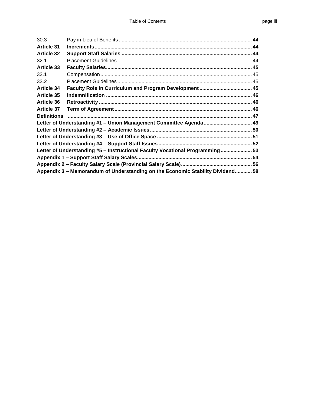| 30.3               |                                                                               |  |
|--------------------|-------------------------------------------------------------------------------|--|
| <b>Article 31</b>  |                                                                               |  |
| <b>Article 32</b>  |                                                                               |  |
| 32.1               |                                                                               |  |
| <b>Article 33</b>  |                                                                               |  |
| 33.1               |                                                                               |  |
| 33.2               |                                                                               |  |
| <b>Article 34</b>  |                                                                               |  |
| <b>Article 35</b>  |                                                                               |  |
| <b>Article 36</b>  |                                                                               |  |
| <b>Article 37</b>  |                                                                               |  |
| <b>Definitions</b> |                                                                               |  |
|                    | Letter of Understanding #1 - Union Management Committee Agenda  49            |  |
|                    |                                                                               |  |
|                    |                                                                               |  |
|                    |                                                                               |  |
|                    | Letter of Understanding #5 - Instructional Faculty Vocational Programming  53 |  |
|                    |                                                                               |  |
|                    |                                                                               |  |
|                    | Appendix 3 – Memorandum of Understanding on the Economic Stability Dividend58 |  |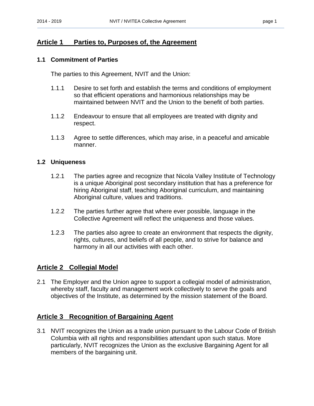## <span id="page-4-0"></span>**Article 1 Parties to, Purposes of, the Agreement**

#### <span id="page-4-1"></span>**1.1 Commitment of Parties**

The parties to this Agreement, NVIT and the Union:

- 1.1.1 Desire to set forth and establish the terms and conditions of employment so that efficient operations and harmonious relationships may be maintained between NVIT and the Union to the benefit of both parties.
- 1.1.2 Endeavour to ensure that all employees are treated with dignity and respect.
- 1.1.3 Agree to settle differences, which may arise, in a peaceful and amicable manner.

#### <span id="page-4-2"></span>**1.2 Uniqueness**

- 1.2.1 The parties agree and recognize that Nicola Valley Institute of Technology is a unique Aboriginal post secondary institution that has a preference for hiring Aboriginal staff, teaching Aboriginal curriculum, and maintaining Aboriginal culture, values and traditions.
- 1.2.2 The parties further agree that where ever possible, language in the Collective Agreement will reflect the uniqueness and those values.
- 1.2.3 The parties also agree to create an environment that respects the dignity, rights, cultures, and beliefs of all people, and to strive for balance and harmony in all our activities with each other.

## <span id="page-4-3"></span>**Article 2 Collegial Model**

2.1 The Employer and the Union agree to support a collegial model of administration, whereby staff, faculty and management work collectively to serve the goals and objectives of the Institute, as determined by the mission statement of the Board.

## <span id="page-4-4"></span>**Article 3 Recognition of Bargaining Agent**

3.1 NVIT recognizes the Union as a trade union pursuant to the Labour Code of British Columbia with all rights and responsibilities attendant upon such status. More particularly, NVIT recognizes the Union as the exclusive Bargaining Agent for all members of the bargaining unit.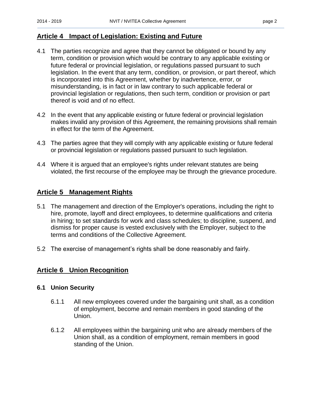## <span id="page-5-0"></span>**Article 4 Impact of Legislation: Existing and Future**

- 4.1 The parties recognize and agree that they cannot be obligated or bound by any term, condition or provision which would be contrary to any applicable existing or future federal or provincial legislation, or regulations passed pursuant to such legislation. In the event that any term, condition, or provision, or part thereof, which is incorporated into this Agreement, whether by inadvertence, error, or misunderstanding, is in fact or in law contrary to such applicable federal or provincial legislation or regulations, then such term, condition or provision or part thereof is void and of no effect.
- 4.2 In the event that any applicable existing or future federal or provincial legislation makes invalid any provision of this Agreement, the remaining provisions shall remain in effect for the term of the Agreement.
- 4.3 The parties agree that they will comply with any applicable existing or future federal or provincial legislation or regulations passed pursuant to such legislation.
- 4.4 Where it is argued that an employee's rights under relevant statutes are being violated, the first recourse of the employee may be through the grievance procedure.

## <span id="page-5-1"></span>**Article 5 Management Rights**

- 5.1 The management and direction of the Employer's operations, including the right to hire, promote, layoff and direct employees, to determine qualifications and criteria in hiring; to set standards for work and class schedules; to discipline, suspend, and dismiss for proper cause is vested exclusively with the Employer, subject to the terms and conditions of the Collective Agreement.
- 5.2 The exercise of management's rights shall be done reasonably and fairly.

## <span id="page-5-2"></span>**Article 6 Union Recognition**

#### <span id="page-5-3"></span>**6.1 Union Security**

- 6.1.1 All new employees covered under the bargaining unit shall, as a condition of employment, become and remain members in good standing of the Union.
- 6.1.2 All employees within the bargaining unit who are already members of the Union shall, as a condition of employment, remain members in good standing of the Union.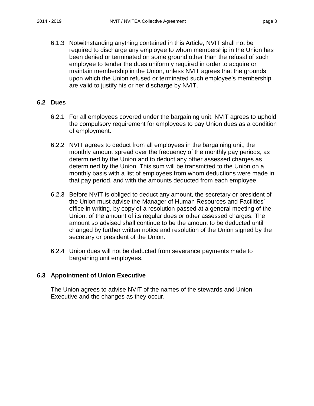6.1.3 Notwithstanding anything contained in this Article, NVIT shall not be required to discharge any employee to whom membership in the Union has been denied or terminated on some ground other than the refusal of such employee to tender the dues uniformly required in order to acquire or maintain membership in the Union, unless NVIT agrees that the grounds upon which the Union refused or terminated such employee's membership are valid to justify his or her discharge by NVIT.

#### <span id="page-6-0"></span>**6.2 Dues**

- 6.2.1 For all employees covered under the bargaining unit, NVIT agrees to uphold the compulsory requirement for employees to pay Union dues as a condition of employment.
- 6.2.2 NVIT agrees to deduct from all employees in the bargaining unit, the monthly amount spread over the frequency of the monthly pay periods, as determined by the Union and to deduct any other assessed charges as determined by the Union. This sum will be transmitted to the Union on a monthly basis with a list of employees from whom deductions were made in that pay period, and with the amounts deducted from each employee.
- 6.2.3 Before NVIT is obliged to deduct any amount, the secretary or president of the Union must advise the Manager of Human Resources and Facilities' office in writing, by copy of a resolution passed at a general meeting of the Union, of the amount of its regular dues or other assessed charges. The amount so advised shall continue to be the amount to be deducted until changed by further written notice and resolution of the Union signed by the secretary or president of the Union.
- 6.2.4 Union dues will not be deducted from severance payments made to bargaining unit employees.

#### <span id="page-6-1"></span>**6.3 Appointment of Union Executive**

The Union agrees to advise NVIT of the names of the stewards and Union Executive and the changes as they occur.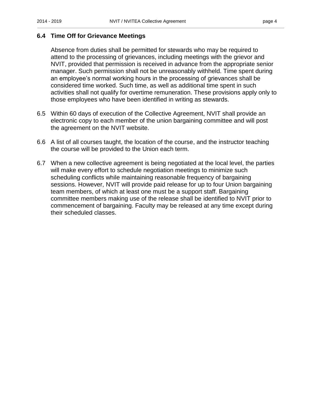#### <span id="page-7-0"></span>**6.4 Time Off for Grievance Meetings**

Absence from duties shall be permitted for stewards who may be required to attend to the processing of grievances, including meetings with the grievor and NVIT, provided that permission is received in advance from the appropriate senior manager. Such permission shall not be unreasonably withheld. Time spent during an employee's normal working hours in the processing of grievances shall be considered time worked. Such time, as well as additional time spent in such activities shall not qualify for overtime remuneration. These provisions apply only to those employees who have been identified in writing as stewards.

- 6.5 Within 60 days of execution of the Collective Agreement, NVIT shall provide an electronic copy to each member of the union bargaining committee and will post the agreement on the NVIT website.
- 6.6 A list of all courses taught, the location of the course, and the instructor teaching the course will be provided to the Union each term.
- 6.7 When a new collective agreement is being negotiated at the local level, the parties will make every effort to schedule negotiation meetings to minimize such scheduling conflicts while maintaining reasonable frequency of bargaining sessions. However, NVIT will provide paid release for up to four Union bargaining team members, of which at least one must be a support staff. Bargaining committee members making use of the release shall be identified to NVIT prior to commencement of bargaining. Faculty may be released at any time except during their scheduled classes.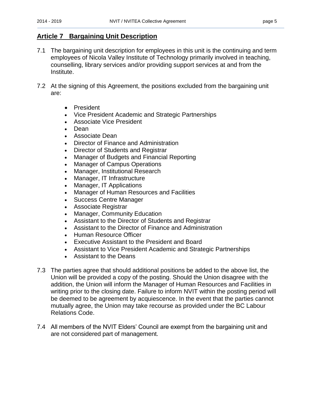## <span id="page-8-0"></span>**Article 7 Bargaining Unit Description**

- 7.1 The bargaining unit description for employees in this unit is the continuing and term employees of Nicola Valley Institute of Technology primarily involved in teaching, counselling, library services and/or providing support services at and from the Institute.
- 7.2 At the signing of this Agreement, the positions excluded from the bargaining unit are:
	- President
	- Vice President Academic and Strategic Partnerships
	- Associate Vice President
	- Dean
	- Associate Dean
	- Director of Finance and Administration
	- Director of Students and Registrar
	- Manager of Budgets and Financial Reporting
	- Manager of Campus Operations
	- Manager, Institutional Research
	- Manager, IT Infrastructure
	- Manager, IT Applications
	- Manager of Human Resources and Facilities
	- Success Centre Manager
	- Associate Registrar
	- Manager, Community Education
	- Assistant to the Director of Students and Registrar
	- Assistant to the Director of Finance and Administration
	- Human Resource Officer
	- Executive Assistant to the President and Board
	- Assistant to Vice President Academic and Strategic Partnerships
	- Assistant to the Deans
- 7.3 The parties agree that should additional positions be added to the above list, the Union will be provided a copy of the posting. Should the Union disagree with the addition, the Union will inform the Manager of Human Resources and Facilities in writing prior to the closing date. Failure to inform NVIT within the posting period will be deemed to be agreement by acquiescence. In the event that the parties cannot mutually agree, the Union may take recourse as provided under the BC Labour Relations Code.
- 7.4 All members of the NVIT Elders' Council are exempt from the bargaining unit and are not considered part of management.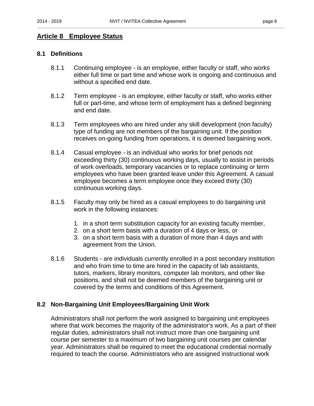## <span id="page-9-0"></span>**Article 8 Employee Status**

#### <span id="page-9-1"></span>**8.1 Definitions**

- 8.1.1 Continuing employee is an employee, either faculty or staff, who works either full time or part time and whose work is ongoing and continuous and without a specified end date.
- 8.1.2 Term employee is an employee, either faculty or staff, who works either full or part-time, and whose term of employment has a defined beginning and end date.
- 8.1.3 Term employees who are hired under any skill development (non faculty) type of funding are not members of the bargaining unit. If the position receives on-going funding from operations, it is deemed bargaining work.
- 8.1.4 Casual employee is an individual who works for brief periods not exceeding thirty (30) continuous working days, usually to assist in periods of work overloads, temporary vacancies or to replace continuing or term employees who have been granted leave under this Agreement. A casual employee becomes a term employee once they exceed thirty (30) continuous working days.
- 8.1.5 Faculty may only be hired as a casual employees to do bargaining unit work in the following instances:
	- 1. in a short term substitution capacity for an existing faculty member,
	- 2. on a short term basis with a duration of 4 days or less, or
	- 3. on a short term basis with a duration of more than 4 days and with agreement from the Union.
- 8.1.6 Students are individuals currently enrolled in a post secondary institution and who from time to time are hired in the capacity of lab assistants, tutors, markers, library monitors, computer lab monitors, and other like positions, and shall not be deemed members of the bargaining unit or covered by the terms and conditions of this Agreement.

## <span id="page-9-2"></span>**8.2 Non-Bargaining Unit Employees/Bargaining Unit Work**

Administrators shall not perform the work assigned to bargaining unit employees where that work becomes the majority of the administrator's work. As a part of their regular duties, administrators shall not instruct more than one bargaining unit course per semester to a maximum of two bargaining unit courses per calendar year. Administrators shall be required to meet the educational credential normally required to teach the course. Administrators who are assigned instructional work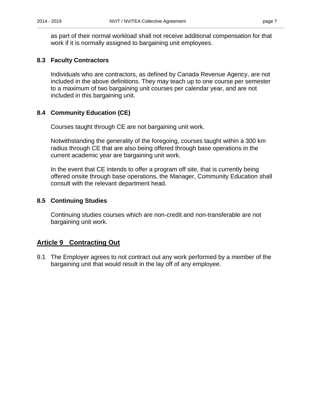as part of their normal workload shall not receive additional compensation for that work if it is normally assigned to bargaining unit employees.

## <span id="page-10-0"></span>**8.3 Faculty Contractors**

Individuals who are contractors, as defined by Canada Revenue Agency, are not included in the above definitions. They may teach up to one course per semester to a maximum of two bargaining unit courses per calendar year, and are not included in this bargaining unit.

## <span id="page-10-1"></span>**8.4 Community Education (CE)**

Courses taught through CE are not bargaining unit work.

Notwithstanding the generality of the foregoing, courses taught within a 300 km radius through CE that are also being offered through base operations in the current academic year are bargaining unit work.

In the event that CE intends to offer a program off site, that is currently being offered onsite through base operations, the Manager, Community Education shall consult with the relevant department head.

## <span id="page-10-2"></span>**8.5 Continuing Studies**

Continuing studies courses which are non-credit and non-transferable are not bargaining unit work.

## <span id="page-10-3"></span>**Article 9 Contracting Out**

9.1 The Employer agrees to not contract out any work performed by a member of the bargaining unit that would result in the lay off of any employee.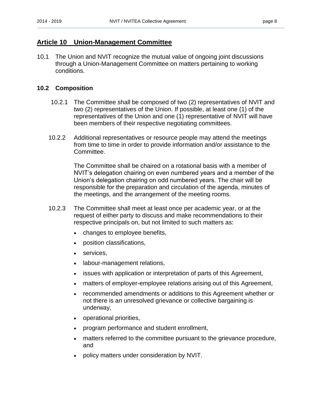## <span id="page-11-0"></span>**Article 10 Union-Management Committee**

10.1 The Union and NVIT recognize the mutual value of ongoing joint discussions through a Union-Management Committee on matters pertaining to working conditions.

#### <span id="page-11-1"></span>**10.2 Composition**

- 10.2.1 The Committee shall be composed of two (2) representatives of NVIT and two (2) representatives of the Union. If possible, at least one (1) of the representatives of the Union and one (1) representative of NVIT will have been members of their respective negotiating committees.
- 10.2.2 Additional representatives or resource people may attend the meetings from time to time in order to provide information and/or assistance to the Committee.

The Committee shall be chaired on a rotational basis with a member of NVIT's delegation chairing on even numbered years and a member of the Union's delegation chairing on odd numbered years. The chair will be responsible for the preparation and circulation of the agenda, minutes of the meetings, and the arrangement of the meeting rooms.

- 10.2.3 The Committee shall meet at least once per academic year, or at the request of either party to discuss and make recommendations to their respective principals on, but not limited to such matters as:
	- changes to employee benefits,
	- position classifications,
	- services,
	- labour-management relations,
	- issues with application or interpretation of parts of this Agreement,
	- matters of employer-employee relations arising out of this Agreement,
	- recommended amendments or additions to this Agreement whether or not there is an unresolved grievance or collective bargaining is underway,
	- operational priorities,
	- program performance and student enrollment,
	- matters referred to the committee pursuant to the grievance procedure, and
	- policy matters under consideration by NVIT.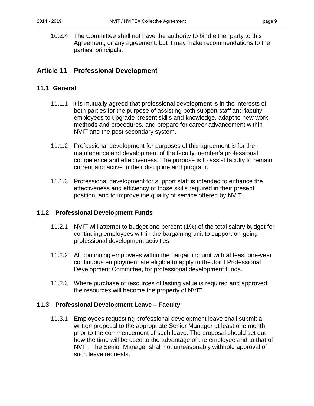10.2.4 The Committee shall not have the authority to bind either party to this Agreement, or any agreement, but it may make recommendations to the parties' principals.

## <span id="page-12-0"></span>**Article 11 Professional Development**

#### <span id="page-12-1"></span>**11.1 General**

- 11.1.1 It is mutually agreed that professional development is in the interests of both parties for the purpose of assisting both support staff and faculty employees to upgrade present skills and knowledge, adapt to new work methods and procedures, and prepare for career advancement within NVIT and the post secondary system.
- 11.1.2 Professional development for purposes of this agreement is for the maintenance and development of the faculty member's professional competence and effectiveness. The purpose is to assist faculty to remain current and active in their discipline and program.
- 11.1.3 Professional development for support staff is intended to enhance the effectiveness and efficiency of those skills required in their present position, and to improve the quality of service offered by NVIT.

#### <span id="page-12-2"></span>**11.2 Professional Development Funds**

- 11.2.1 NVIT will attempt to budget one percent (1%) of the total salary budget for continuing employees within the bargaining unit to support on-going professional development activities.
- 11.2.2 All continuing employees within the bargaining unit with at least one-year continuous employment are eligible to apply to the Joint Professional Development Committee, for professional development funds.
- 11.2.3 Where purchase of resources of lasting value is required and approved, the resources will become the property of NVIT.

#### <span id="page-12-3"></span>**11.3 Professional Development Leave – Faculty**

11.3.1 Employees requesting professional development leave shall submit a written proposal to the appropriate Senior Manager at least one month prior to the commencement of such leave. The proposal should set out how the time will be used to the advantage of the employee and to that of NVIT. The Senior Manager shall not unreasonably withhold approval of such leave requests.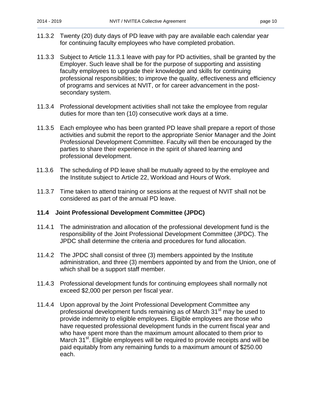- 11.3.2 Twenty (20) duty days of PD leave with pay are available each calendar year for continuing faculty employees who have completed probation.
- 11.3.3 Subject to Article 11.3.1 leave with pay for PD activities, shall be granted by the Employer. Such leave shall be for the purpose of supporting and assisting faculty employees to upgrade their knowledge and skills for continuing professional responsibilities; to improve the quality, effectiveness and efficiency of programs and services at NVIT, or for career advancement in the postsecondary system.
- 11.3.4 Professional development activities shall not take the employee from regular duties for more than ten (10) consecutive work days at a time.
- 11.3.5 Each employee who has been granted PD leave shall prepare a report of those activities and submit the report to the appropriate Senior Manager and the Joint Professional Development Committee. Faculty will then be encouraged by the parties to share their experience in the spirit of shared learning and professional development.
- 11.3.6 The scheduling of PD leave shall be mutually agreed to by the employee and the Institute subject to Article 22, Workload and Hours of Work.
- 11.3.7 Time taken to attend training or sessions at the request of NVIT shall not be considered as part of the annual PD leave.

#### <span id="page-13-0"></span>**11.4 Joint Professional Development Committee (JPDC)**

- 11.4.1 The administration and allocation of the professional development fund is the responsibility of the Joint Professional Development Committee (JPDC). The JPDC shall determine the criteria and procedures for fund allocation.
- 11.4.2 The JPDC shall consist of three (3) members appointed by the Institute administration, and three (3) members appointed by and from the Union, one of which shall be a support staff member.
- 11.4.3 Professional development funds for continuing employees shall normally not exceed \$2,000 per person per fiscal year.
- 11.4.4 Upon approval by the Joint Professional Development Committee any professional development funds remaining as of March 31<sup>st</sup> may be used to provide indemnity to eligible employees. Eligible employees are those who have requested professional development funds in the current fiscal year and who have spent more than the maximum amount allocated to them prior to March 31<sup>st</sup>. Eligible employees will be required to provide receipts and will be paid equitably from any remaining funds to a maximum amount of \$250.00 each.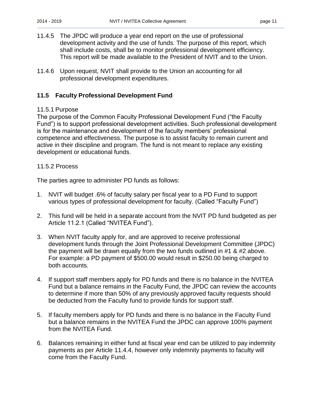- 11.4.5 The JPDC will produce a year end report on the use of professional development activity and the use of funds. The purpose of this report, which shall include costs, shall be to monitor professional development efficiency. This report will be made available to the President of NVIT and to the Union.
- 11.4.6 Upon request, NVIT shall provide to the Union an accounting for all professional development expenditures.

## <span id="page-14-0"></span>**11.5 Faculty Professional Development Fund**

#### 11.5.1 Purpose

The purpose of the Common Faculty Professional Development Fund ("the Faculty Fund") is to support professional development activities. Such professional development is for the maintenance and development of the faculty members' professional competence and effectiveness. The purpose is to assist faculty to remain current and active in their discipline and program. The fund is not meant to replace any existing development or educational funds.

#### 11.5.2 Process

The parties agree to administer PD funds as follows:

- 1. NVIT will budget .6% of faculty salary per fiscal year to a PD Fund to support various types of professional development for faculty. (Called "Faculty Fund")
- 2. This fund will be held in a separate account from the NVIT PD fund budgeted as per Article 11.2.1 (Called "NVITEA Fund").
- 3. When NVIT faculty apply for, and are approved to receive professional development funds through the Joint Professional Development Committee (JPDC) the payment will be drawn equally from the two funds outlined in #1 & #2 above. For example: a PD payment of \$500.00 would result in \$250.00 being charged to both accounts.
- 4. If support staff members apply for PD funds and there is no balance in the NVITEA Fund but a balance remains in the Faculty Fund, the JPDC can review the accounts to determine if more than 50% of any previously approved faculty requests should be deducted from the Faculty fund to provide funds for support staff.
- 5. If faculty members apply for PD funds and there is no balance in the Faculty Fund but a balance remains in the NVITEA Fund the JPDC can approve 100% payment from the NVITEA Fund.
- 6. Balances remaining in either fund at fiscal year end can be utilized to pay indemnity payments as per Article 11.4.4, however only indemnity payments to faculty will come from the Faculty Fund.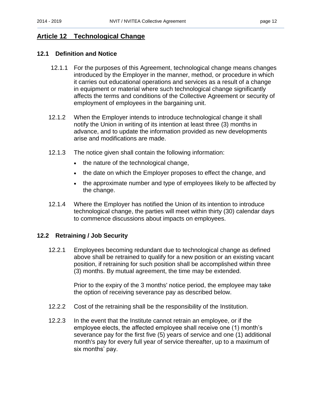## <span id="page-15-0"></span>**Article 12 Technological Change**

#### <span id="page-15-1"></span>**12.1 Definition and Notice**

- 12.1.1 For the purposes of this Agreement, technological change means changes introduced by the Employer in the manner, method, or procedure in which it carries out educational operations and services as a result of a change in equipment or material where such technological change significantly affects the terms and conditions of the Collective Agreement or security of employment of employees in the bargaining unit.
- 12.1.2 When the Employer intends to introduce technological change it shall notify the Union in writing of its intention at least three (3) months in advance, and to update the information provided as new developments arise and modifications are made.
- 12.1.3 The notice given shall contain the following information:
	- the nature of the technological change,
	- the date on which the Employer proposes to effect the change, and
	- the approximate number and type of employees likely to be affected by the change.
- 12.1.4 Where the Employer has notified the Union of its intention to introduce technological change, the parties will meet within thirty (30) calendar days to commence discussions about impacts on employees.

#### <span id="page-15-2"></span>**12.2 Retraining / Job Security**

12.2.1 Employees becoming redundant due to technological change as defined above shall be retrained to qualify for a new position or an existing vacant position, if retraining for such position shall be accomplished within three (3) months. By mutual agreement, the time may be extended.

> Prior to the expiry of the 3 months' notice period, the employee may take the option of receiving severance pay as described below.

- 12.2.2 Cost of the retraining shall be the responsibility of the Institution.
- 12.2.3 In the event that the Institute cannot retrain an employee, or if the employee elects, the affected employee shall receive one (1) month's severance pay for the first five (5) years of service and one (1) additional month's pay for every full year of service thereafter, up to a maximum of six months' pay.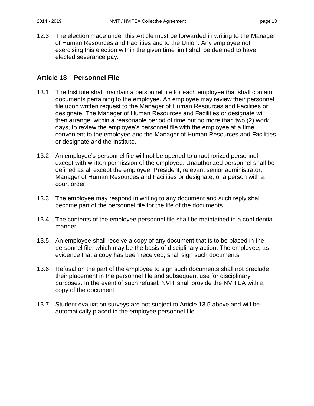12.3 The election made under this Article must be forwarded in writing to the Manager of Human Resources and Facilities and to the Union. Any employee not exercising this election within the given time limit shall be deemed to have elected severance pay.

## <span id="page-16-0"></span>**Article 13 Personnel File**

- 13.1 The Institute shall maintain a personnel file for each employee that shall contain documents pertaining to the employee. An employee may review their personnel file upon written request to the Manager of Human Resources and Facilities or designate. The Manager of Human Resources and Facilities or designate will then arrange, within a reasonable period of time but no more than two (2) work days, to review the employee's personnel file with the employee at a time convenient to the employee and the Manager of Human Resources and Facilities or designate and the Institute.
- 13.2 An employee's personnel file will not be opened to unauthorized personnel, except with written permission of the employee. Unauthorized personnel shall be defined as all except the employee, President, relevant senior administrator, Manager of Human Resources and Facilities or designate, or a person with a court order.
- 13.3 The employee may respond in writing to any document and such reply shall become part of the personnel file for the life of the documents.
- 13.4 The contents of the employee personnel file shall be maintained in a confidential manner.
- 13.5 An employee shall receive a copy of any document that is to be placed in the personnel file, which may be the basis of disciplinary action. The employee, as evidence that a copy has been received, shall sign such documents.
- 13.6 Refusal on the part of the employee to sign such documents shall not preclude their placement in the personnel file and subsequent use for disciplinary purposes. In the event of such refusal, NVIT shall provide the NVITEA with a copy of the document.
- 13.7 Student evaluation surveys are not subject to Article 13.5 above and will be automatically placed in the employee personnel file.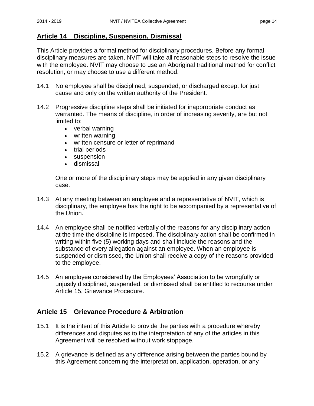## <span id="page-17-0"></span>**Article 14 Discipline, Suspension, Dismissal**

This Article provides a formal method for disciplinary procedures. Before any formal disciplinary measures are taken, NVIT will take all reasonable steps to resolve the issue with the employee. NVIT may choose to use an Aboriginal traditional method for conflict resolution, or may choose to use a different method.

- 14.1 No employee shall be disciplined, suspended, or discharged except for just cause and only on the written authority of the President.
- 14.2 Progressive discipline steps shall be initiated for inappropriate conduct as warranted. The means of discipline, in order of increasing severity, are but not limited to:
	- verbal warning
	- written warning
	- written censure or letter of reprimand
	- trial periods
	- suspension
	- dismissal

One or more of the disciplinary steps may be applied in any given disciplinary case.

- 14.3 At any meeting between an employee and a representative of NVIT, which is disciplinary, the employee has the right to be accompanied by a representative of the Union.
- 14.4 An employee shall be notified verbally of the reasons for any disciplinary action at the time the discipline is imposed. The disciplinary action shall be confirmed in writing within five (5) working days and shall include the reasons and the substance of every allegation against an employee. When an employee is suspended or dismissed, the Union shall receive a copy of the reasons provided to the employee.
- 14.5 An employee considered by the Employees' Association to be wrongfully or unjustly disciplined, suspended, or dismissed shall be entitled to recourse under Article 15, Grievance Procedure.

## <span id="page-17-1"></span>**Article 15 Grievance Procedure & Arbitration**

- 15.1 It is the intent of this Article to provide the parties with a procedure whereby differences and disputes as to the interpretation of any of the articles in this Agreement will be resolved without work stoppage.
- 15.2 A grievance is defined as any difference arising between the parties bound by this Agreement concerning the interpretation, application, operation, or any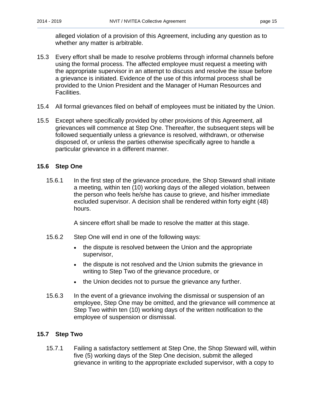alleged violation of a provision of this Agreement, including any question as to whether any matter is arbitrable.

- 15.3 Every effort shall be made to resolve problems through informal channels before using the formal process. The affected employee must request a meeting with the appropriate supervisor in an attempt to discuss and resolve the issue before a grievance is initiated. Evidence of the use of this informal process shall be provided to the Union President and the Manager of Human Resources and Facilities.
- 15.4 All formal grievances filed on behalf of employees must be initiated by the Union.
- 15.5 Except where specifically provided by other provisions of this Agreement, all grievances will commence at Step One. Thereafter, the subsequent steps will be followed sequentially unless a grievance is resolved, withdrawn, or otherwise disposed of, or unless the parties otherwise specifically agree to handle a particular grievance in a different manner.

## <span id="page-18-0"></span>**15.6 Step One**

15.6.1 In the first step of the grievance procedure, the Shop Steward shall initiate a meeting, within ten (10) working days of the alleged violation, between the person who feels he/she has cause to grieve, and his/her immediate excluded supervisor. A decision shall be rendered within forty eight (48) hours.

A sincere effort shall be made to resolve the matter at this stage.

- 15.6.2 Step One will end in one of the following ways:
	- the dispute is resolved between the Union and the appropriate supervisor,
	- the dispute is not resolved and the Union submits the grievance in writing to Step Two of the grievance procedure, or
	- the Union decides not to pursue the grievance any further.
- 15.6.3 In the event of a grievance involving the dismissal or suspension of an employee, Step One may be omitted, and the grievance will commence at Step Two within ten (10) working days of the written notification to the employee of suspension or dismissal.

#### <span id="page-18-1"></span>**15.7 Step Two**

15.7.1 Failing a satisfactory settlement at Step One, the Shop Steward will, within five (5) working days of the Step One decision, submit the alleged grievance in writing to the appropriate excluded supervisor, with a copy to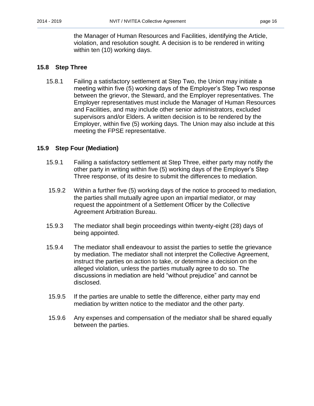the Manager of Human Resources and Facilities, identifying the Article, violation, and resolution sought. A decision is to be rendered in writing within ten (10) working days.

#### <span id="page-19-0"></span>**15.8 Step Three**

15.8.1 Failing a satisfactory settlement at Step Two, the Union may initiate a meeting within five (5) working days of the Employer's Step Two response between the grievor, the Steward, and the Employer representatives. The Employer representatives must include the Manager of Human Resources and Facilities, and may include other senior administrators, excluded supervisors and/or Elders. A written decision is to be rendered by the Employer, within five (5) working days. The Union may also include at this meeting the FPSE representative.

#### <span id="page-19-1"></span>**15.9 Step Four (Mediation)**

- 15.9.1 Failing a satisfactory settlement at Step Three, either party may notify the other party in writing within five (5) working days of the Employer's Step Three response, of its desire to submit the differences to mediation.
- 15.9.2 Within a further five (5) working days of the notice to proceed to mediation, the parties shall mutually agree upon an impartial mediator, or may request the appointment of a Settlement Officer by the Collective Agreement Arbitration Bureau.
- 15.9.3 The mediator shall begin proceedings within twenty-eight (28) days of being appointed.
- 15.9.4 The mediator shall endeavour to assist the parties to settle the grievance by mediation. The mediator shall not interpret the Collective Agreement, instruct the parties on action to take, or determine a decision on the alleged violation, unless the parties mutually agree to do so. The discussions in mediation are held "without prejudice" and cannot be disclosed.
- 15.9.5 If the parties are unable to settle the difference, either party may end mediation by written notice to the mediator and the other party.
- 15.9.6 Any expenses and compensation of the mediator shall be shared equally between the parties.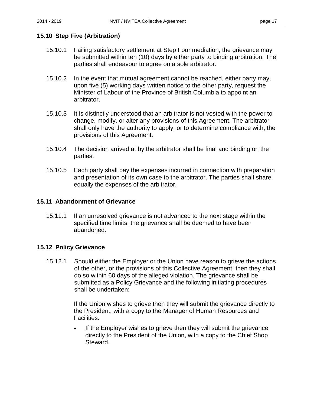#### <span id="page-20-0"></span>**15.10 Step Five (Arbitration)**

- 15.10.1 Failing satisfactory settlement at Step Four mediation, the grievance may be submitted within ten (10) days by either party to binding arbitration. The parties shall endeavour to agree on a sole arbitrator.
- 15.10.2 In the event that mutual agreement cannot be reached, either party may, upon five (5) working days written notice to the other party, request the Minister of Labour of the Province of British Columbia to appoint an arbitrator.
- 15.10.3 It is distinctly understood that an arbitrator is not vested with the power to change, modify, or alter any provisions of this Agreement. The arbitrator shall only have the authority to apply, or to determine compliance with, the provisions of this Agreement.
- 15.10.4 The decision arrived at by the arbitrator shall be final and binding on the parties.
- 15.10.5 Each party shall pay the expenses incurred in connection with preparation and presentation of its own case to the arbitrator. The parties shall share equally the expenses of the arbitrator.

#### <span id="page-20-1"></span>**15.11 Abandonment of Grievance**

15.11.1 If an unresolved grievance is not advanced to the next stage within the specified time limits, the grievance shall be deemed to have been abandoned.

#### <span id="page-20-2"></span>**15.12 Policy Grievance**

15.12.1 Should either the Employer or the Union have reason to grieve the actions of the other, or the provisions of this Collective Agreement, then they shall do so within 60 days of the alleged violation. The grievance shall be submitted as a Policy Grievance and the following initiating procedures shall be undertaken:

> If the Union wishes to grieve then they will submit the grievance directly to the President, with a copy to the Manager of Human Resources and Facilities.

 If the Employer wishes to grieve then they will submit the grievance directly to the President of the Union, with a copy to the Chief Shop Steward.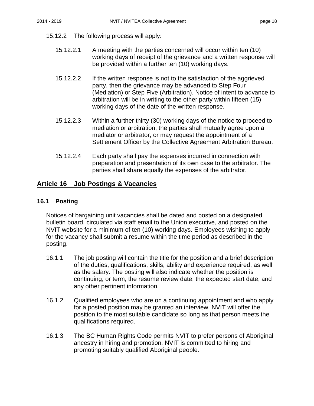#### 15.12.2 The following process will apply:

- 15.12.2.1 A meeting with the parties concerned will occur within ten (10) working days of receipt of the grievance and a written response will be provided within a further ten (10) working days.
- 15.12.2.2 If the written response is not to the satisfaction of the aggrieved party, then the grievance may be advanced to Step Four (Mediation) or Step Five (Arbitration). Notice of intent to advance to arbitration will be in writing to the other party within fifteen (15) working days of the date of the written response.
- 15.12.2.3 Within a further thirty (30) working days of the notice to proceed to mediation or arbitration, the parties shall mutually agree upon a mediator or arbitrator, or may request the appointment of a Settlement Officer by the Collective Agreement Arbitration Bureau.
- 15.12.2.4 Each party shall pay the expenses incurred in connection with preparation and presentation of its own case to the arbitrator. The parties shall share equally the expenses of the arbitrator.

#### <span id="page-21-0"></span>**Article 16 Job Postings & Vacancies**

#### <span id="page-21-1"></span>**16.1 Posting**

Notices of bargaining unit vacancies shall be dated and posted on a designated bulletin board, circulated via staff email to the Union executive, and posted on the NVIT website for a minimum of ten (10) working days. Employees wishing to apply for the vacancy shall submit a resume within the time period as described in the posting.

- 16.1.1 The job posting will contain the title for the position and a brief description of the duties, qualifications, skills, ability and experience required, as well as the salary. The posting will also indicate whether the position is continuing, or term, the resume review date, the expected start date, and any other pertinent information.
- 16.1.2 Qualified employees who are on a continuing appointment and who apply for a posted position may be granted an interview. NVIT will offer the position to the most suitable candidate so long as that person meets the qualifications required.
- 16.1.3 The BC Human Rights Code permits NVIT to prefer persons of Aboriginal ancestry in hiring and promotion. NVIT is committed to hiring and promoting suitably qualified Aboriginal people.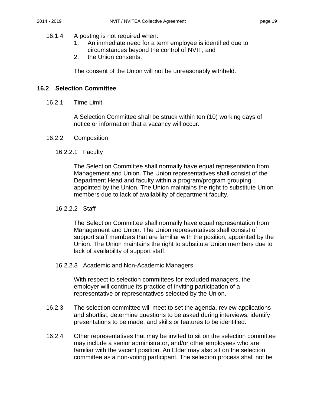#### 16.1.4 A posting is not required when:

- 1. An immediate need for a term employee is identified due to circumstances beyond the control of NVIT, and
- 2. the Union consents.

The consent of the Union will not be unreasonably withheld.

#### <span id="page-22-0"></span>**16.2 Selection Committee**

16.2.1 Time Limit

A Selection Committee shall be struck within ten (10) working days of notice or information that a vacancy will occur.

16.2.2 Composition

#### 16.2.2.1 Faculty

The Selection Committee shall normally have equal representation from Management and Union. The Union representatives shall consist of the Department Head and faculty within a program/program grouping appointed by the Union. The Union maintains the right to substitute Union members due to lack of availability of department faculty.

#### 16.2.2.2 Staff

The Selection Committee shall normally have equal representation from Management and Union. The Union representatives shall consist of support staff members that are familiar with the position, appointed by the Union. The Union maintains the right to substitute Union members due to lack of availability of support staff.

#### 16.2.2.3 Academic and Non-Academic Managers

With respect to selection committees for excluded managers, the employer will continue its practice of inviting participation of a representative or representatives selected by the Union.

- 16.2.3 The selection committee will meet to set the agenda, review applications and shortlist, determine questions to be asked during interviews, identify presentations to be made, and skills or features to be identified.
- 16.2.4 Other representatives that may be invited to sit on the selection committee may include a senior administrator, and/or other employees who are familiar with the vacant position. An Elder may also sit on the selection committee as a non-voting participant. The selection process shall not be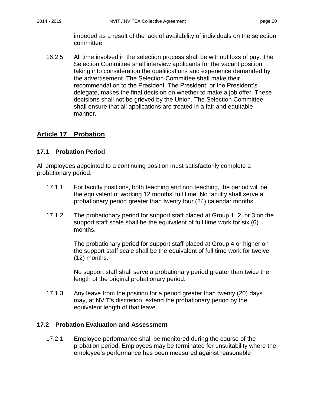impeded as a result of the lack of availability of individuals on the selection committee.

16.2.5 All time involved in the selection process shall be without loss of pay. The Selection Committee shall interview applicants for the vacant position taking into consideration the qualifications and experience demanded by the advertisement. The Selection Committee shall make their recommendation to the President. The President, or the President's delegate, makes the final decision on whether to make a job offer. These decisions shall not be grieved by the Union. The Selection Committee shall ensure that all applications are treated in a fair and equitable manner.

## <span id="page-23-0"></span>**Article 17 Probation**

#### <span id="page-23-1"></span>**17.1 Probation Period**

All employees appointed to a continuing position must satisfactorily complete a probationary period.

- 17.1.1 For faculty positions, both teaching and non teaching, the period will be the equivalent of working 12 months' full time. No faculty shall serve a probationary period greater than twenty four (24) calendar months.
- 17.1.2 The probationary period for support staff placed at Group 1, 2, or 3 on the support staff scale shall be the equivalent of full time work for six (6) months.

The probationary period for support staff placed at Group 4 or higher on the support staff scale shall be the equivalent of full time work for twelve (12) months.

No support staff shall serve a probationary period greater than twice the length of the original probationary period.

17.1.3 Any leave from the position for a period greater than twenty (20) days may, at NVIT's discretion, extend the probationary period by the equivalent length of that leave.

#### <span id="page-23-2"></span>**17.2 Probation Evaluation and Assessment**

17.2.1 Employee performance shall be monitored during the course of the probation period. Employees may be terminated for unsuitability where the employee's performance has been measured against reasonable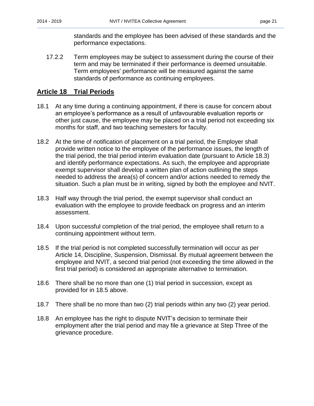standards and the employee has been advised of these standards and the performance expectations.

17.2.2 Term employees may be subject to assessment during the course of their term and may be terminated if their performance is deemed unsuitable. Term employees' performance will be measured against the same standards of performance as continuing employees.

## <span id="page-24-0"></span>**Article 18 Trial Periods**

- 18.1 At any time during a continuing appointment, if there is cause for concern about an employee's performance as a result of unfavourable evaluation reports or other just cause, the employee may be placed on a trial period not exceeding six months for staff, and two teaching semesters for faculty.
- 18.2 At the time of notification of placement on a trial period, the Employer shall provide written notice to the employee of the performance issues, the length of the trial period, the trial period interim evaluation date (pursuant to Article 18.3) and identify performance expectations. As such, the employee and appropriate exempt supervisor shall develop a written plan of action outlining the steps needed to address the area(s) of concern and/or actions needed to remedy the situation. Such a plan must be in writing, signed by both the employee and NVIT.
- 18.3 Half way through the trial period, the exempt supervisor shall conduct an evaluation with the employee to provide feedback on progress and an interim assessment.
- 18.4 Upon successful completion of the trial period, the employee shall return to a continuing appointment without term.
- 18.5 If the trial period is not completed successfully termination will occur as per Article 14, Discipline, Suspension, Dismissal. By mutual agreement between the employee and NVIT, a second trial period (not exceeding the time allowed in the first trial period) is considered an appropriate alternative to termination.
- 18.6 There shall be no more than one (1) trial period in succession, except as provided for in 18.5 above.
- 18.7 There shall be no more than two (2) trial periods within any two (2) year period.
- 18.8 An employee has the right to dispute NVIT's decision to terminate their employment after the trial period and may file a grievance at Step Three of the grievance procedure.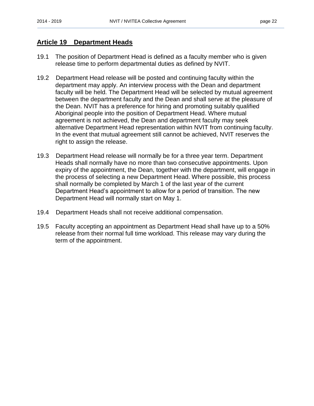#### <span id="page-25-0"></span>**Article 19 Department Heads**

- 19.1 The position of Department Head is defined as a faculty member who is given release time to perform departmental duties as defined by NVIT.
- 19.2 Department Head release will be posted and continuing faculty within the department may apply. An interview process with the Dean and department faculty will be held. The Department Head will be selected by mutual agreement between the department faculty and the Dean and shall serve at the pleasure of the Dean. NVIT has a preference for hiring and promoting suitably qualified Aboriginal people into the position of Department Head. Where mutual agreement is not achieved, the Dean and department faculty may seek alternative Department Head representation within NVIT from continuing faculty. In the event that mutual agreement still cannot be achieved, NVIT reserves the right to assign the release.
- 19.3 Department Head release will normally be for a three year term. Department Heads shall normally have no more than two consecutive appointments. Upon expiry of the appointment, the Dean, together with the department, will engage in the process of selecting a new Department Head. Where possible, this process shall normally be completed by March 1 of the last year of the current Department Head's appointment to allow for a period of transition. The new Department Head will normally start on May 1.
- 19.4 Department Heads shall not receive additional compensation.
- 19.5 Faculty accepting an appointment as Department Head shall have up to a 50% release from their normal full time workload. This release may vary during the term of the appointment.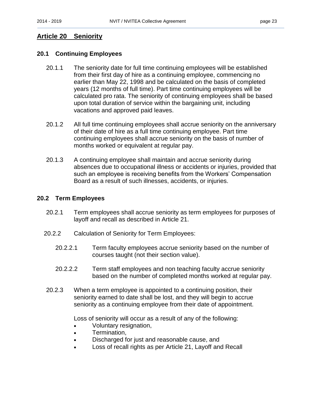## <span id="page-26-0"></span>**Article 20 Seniority**

#### <span id="page-26-1"></span>**20.1 Continuing Employees**

- 20.1.1 The seniority date for full time continuing employees will be established from their first day of hire as a continuing employee, commencing no earlier than May 22, 1998 and be calculated on the basis of completed years (12 months of full time). Part time continuing employees will be calculated pro rata. The seniority of continuing employees shall be based upon total duration of service within the bargaining unit, including vacations and approved paid leaves.
- 20.1.2 All full time continuing employees shall accrue seniority on the anniversary of their date of hire as a full time continuing employee. Part time continuing employees shall accrue seniority on the basis of number of months worked or equivalent at regular pay.
- 20.1.3 A continuing employee shall maintain and accrue seniority during absences due to occupational illness or accidents or injuries, provided that such an employee is receiving benefits from the Workers' Compensation Board as a result of such illnesses, accidents, or injuries.

#### <span id="page-26-2"></span>**20.2 Term Employees**

- 20.2.1 Term employees shall accrue seniority as term employees for purposes of layoff and recall as described in Article 21.
- 20.2.2 Calculation of Seniority for Term Employees:
	- 20.2.2.1 Term faculty employees accrue seniority based on the number of courses taught (not their section value).
	- 20.2.2.2 Term staff employees and non teaching faculty accrue seniority based on the number of completed months worked at regular pay.
- 20.2.3 When a term employee is appointed to a continuing position, their seniority earned to date shall be lost, and they will begin to accrue seniority as a continuing employee from their date of appointment.

Loss of seniority will occur as a result of any of the following:

- Voluntary resignation,
- Termination,
- Discharged for just and reasonable cause, and
- Loss of recall rights as per Article 21, Layoff and Recall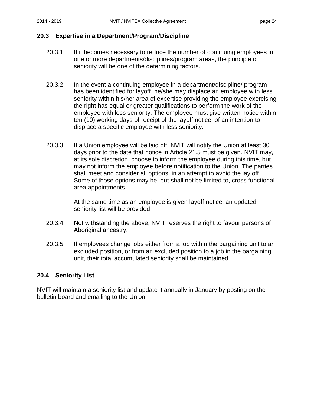#### <span id="page-27-0"></span>**20.3 Expertise in a Department/Program/Discipline**

- 20.3.1 If it becomes necessary to reduce the number of continuing employees in one or more departments/disciplines/program areas, the principle of seniority will be one of the determining factors.
- 20.3.2 In the event a continuing employee in a department/discipline/ program has been identified for layoff, he/she may displace an employee with less seniority within his/her area of expertise providing the employee exercising the right has equal or greater qualifications to perform the work of the employee with less seniority. The employee must give written notice within ten (10) working days of receipt of the layoff notice, of an intention to displace a specific employee with less seniority.
- 20.3.3 If a Union employee will be laid off, NVIT will notify the Union at least 30 days prior to the date that notice in Article 21.5 must be given. NVIT may, at its sole discretion, choose to inform the employee during this time, but may not inform the employee before notification to the Union. The parties shall meet and consider all options, in an attempt to avoid the lay off. Some of those options may be, but shall not be limited to, cross functional area appointments.

At the same time as an employee is given layoff notice, an updated seniority list will be provided.

- 20.3.4 Not withstanding the above, NVIT reserves the right to favour persons of Aboriginal ancestry.
- 20.3.5 If employees change jobs either from a job within the bargaining unit to an excluded position, or from an excluded position to a job in the bargaining unit, their total accumulated seniority shall be maintained.

#### <span id="page-27-1"></span>**20.4 Seniority List**

NVIT will maintain a seniority list and update it annually in January by posting on the bulletin board and emailing to the Union.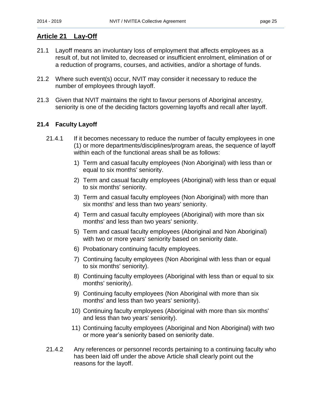## <span id="page-28-0"></span>**Article 21 Lay-Off**

- 21.1 Layoff means an involuntary loss of employment that affects employees as a result of, but not limited to, decreased or insufficient enrolment, elimination of or a reduction of programs, courses, and activities, and/or a shortage of funds.
- 21.2 Where such event(s) occur, NVIT may consider it necessary to reduce the number of employees through layoff.
- 21.3 Given that NVIT maintains the right to favour persons of Aboriginal ancestry, seniority is one of the deciding factors governing layoffs and recall after layoff.

#### <span id="page-28-1"></span>**21.4 Faculty Layoff**

- 21.4.1 If it becomes necessary to reduce the number of faculty employees in one (1) or more departments/disciplines/program areas, the sequence of layoff within each of the functional areas shall be as follows:
	- 1) Term and casual faculty employees (Non Aboriginal) with less than or equal to six months' seniority.
	- 2) Term and casual faculty employees (Aboriginal) with less than or equal to six months' seniority.
	- 3) Term and casual faculty employees (Non Aboriginal) with more than six months' and less than two years' seniority.
	- 4) Term and casual faculty employees (Aboriginal) with more than six months' and less than two years' seniority.
	- 5) Term and casual faculty employees (Aboriginal and Non Aboriginal) with two or more years' seniority based on seniority date.
	- 6) Probationary continuing faculty employees.
	- 7) Continuing faculty employees (Non Aboriginal with less than or equal to six months' seniority).
	- 8) Continuing faculty employees (Aboriginal with less than or equal to six months' seniority).
	- 9) Continuing faculty employees (Non Aboriginal with more than six months' and less than two years' seniority).
	- 10) Continuing faculty employees (Aboriginal with more than six months' and less than two years' seniority).
	- 11) Continuing faculty employees (Aboriginal and Non Aboriginal) with two or more year's seniority based on seniority date.
- 21.4.2 Any references or personnel records pertaining to a continuing faculty who has been laid off under the above Article shall clearly point out the reasons for the layoff.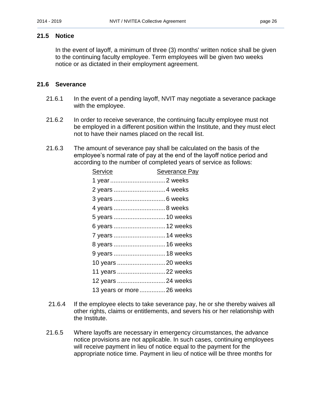#### <span id="page-29-0"></span>**21.5 Notice**

In the event of layoff, a minimum of three (3) months' written notice shall be given to the continuing faculty employee. Term employees will be given two weeks notice or as dictated in their employment agreement.

#### <span id="page-29-1"></span>**21.6 Severance**

- 21.6.1 In the event of a pending layoff, NVIT may negotiate a severance package with the employee.
- 21.6.2 In order to receive severance, the continuing faculty employee must not be employed in a different position within the Institute, and they must elect not to have their names placed on the recall list.
- 21.6.3 The amount of severance pay shall be calculated on the basis of the employee's normal rate of pay at the end of the layoff notice period and according to the number of completed years of service as follows:

| Severance Pay              |
|----------------------------|
| 1 year2 weeks              |
|                            |
|                            |
|                            |
| 5 years  10 weeks          |
| 6 years  12 weeks          |
| 7 years  14 weeks          |
| 8 years  16 weeks          |
| 9 years  18 weeks          |
| 10 years  20 weeks         |
| 11 years  22 weeks         |
| 12 years  24 weeks         |
| 13 years or more  26 weeks |
|                            |

- 21.6.4 If the employee elects to take severance pay, he or she thereby waives all other rights, claims or entitlements, and severs his or her relationship with the Institute.
- 21.6.5 Where layoffs are necessary in emergency circumstances, the advance notice provisions are not applicable. In such cases, continuing employees will receive payment in lieu of notice equal to the payment for the appropriate notice time. Payment in lieu of notice will be three months for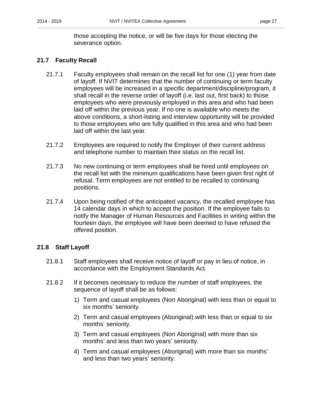those accepting the notice, or will be five days for those electing the severance option.

#### <span id="page-30-0"></span>**21.7 Faculty Recall**

- 21.7.1 Faculty employees shall remain on the recall list for one (1) year from date of layoff. If NVIT determines that the number of continuing or term faculty employees will be increased in a specific department/discipline/program, it shall recall in the reverse order of layoff (i.e. last out, first back) to those employees who were previously employed in this area and who had been laid off within the previous year. If no one is available who meets the above conditions, a short-listing and interview opportunity will be provided to those employees who are fully qualified in this area and who had been laid off within the last year.
- 21.7.2 Employees are required to notify the Employer of their current address and telephone number to maintain their status on the recall list.
- 21.7.3 No new continuing or term employees shall be hired until employees on the recall list with the minimum qualifications have been given first right of refusal. Term employees are not entitled to be recalled to continuing positions.
- 21.7.4 Upon being notified of the anticipated vacancy, the recalled employee has 14 calendar days in which to accept the position. If the employee fails to notify the Manager of Human Resources and Facilities in writing within the fourteen days, the employee will have been deemed to have refused the offered position.

#### <span id="page-30-1"></span>**21.8 Staff Layoff**

- 21.8.1 Staff employees shall receive notice of layoff or pay in lieu of notice, in accordance with the Employment Standards Act.
- 21.8.2 If it becomes necessary to reduce the number of staff employees, the sequence of layoff shall be as follows:
	- 1) Term and casual employees (Non Aboriginal) with less than or equal to six months' seniority.
	- 2) Term and casual employees (Aboriginal) with less than or equal to six months' seniority.
	- 3) Term and casual employees (Non Aboriginal) with more than six months' and less than two years' seniority.
	- 4) Term and casual employees (Aboriginal) with more than six months' and less than two years' seniority.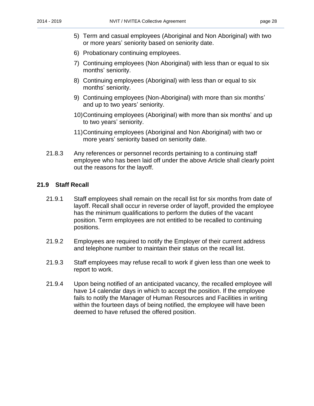- 5) Term and casual employees (Aboriginal and Non Aboriginal) with two or more years' seniority based on seniority date.
- 6) Probationary continuing employees.
- 7) Continuing employees (Non Aboriginal) with less than or equal to six months' seniority.
- 8) Continuing employees (Aboriginal) with less than or equal to six months' seniority.
- 9) Continuing employees (Non-Aboriginal) with more than six months' and up to two years' seniority.
- 10)Continuing employees (Aboriginal) with more than six months' and up to two years' seniority.
- 11)Continuing employees (Aboriginal and Non Aboriginal) with two or more years' seniority based on seniority date.
- 21.8.3 Any references or personnel records pertaining to a continuing staff employee who has been laid off under the above Article shall clearly point out the reasons for the layoff.

#### <span id="page-31-0"></span>**21.9 Staff Recall**

- 21.9.1 Staff employees shall remain on the recall list for six months from date of layoff. Recall shall occur in reverse order of layoff, provided the employee has the minimum qualifications to perform the duties of the vacant position. Term employees are not entitled to be recalled to continuing positions.
- 21.9.2 Employees are required to notify the Employer of their current address and telephone number to maintain their status on the recall list.
- 21.9.3 Staff employees may refuse recall to work if given less than one week to report to work.
- 21.9.4 Upon being notified of an anticipated vacancy, the recalled employee will have 14 calendar days in which to accept the position. If the employee fails to notify the Manager of Human Resources and Facilities in writing within the fourteen days of being notified, the employee will have been deemed to have refused the offered position.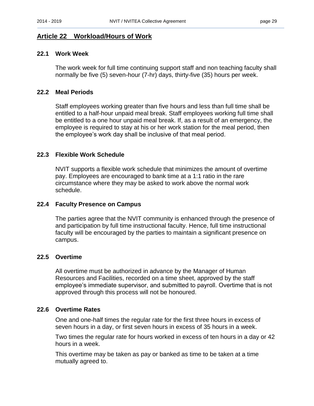## <span id="page-32-0"></span>**Article 22 Workload/Hours of Work**

#### <span id="page-32-1"></span>**22.1 Work Week**

The work week for full time continuing support staff and non teaching faculty shall normally be five (5) seven-hour (7-hr) days, thirty-five (35) hours per week.

#### <span id="page-32-2"></span>**22.2 Meal Periods**

Staff employees working greater than five hours and less than full time shall be entitled to a half-hour unpaid meal break. Staff employees working full time shall be entitled to a one hour unpaid meal break. If, as a result of an emergency, the employee is required to stay at his or her work station for the meal period, then the employee's work day shall be inclusive of that meal period.

#### <span id="page-32-3"></span>**22.3 Flexible Work Schedule**

NVIT supports a flexible work schedule that minimizes the amount of overtime pay. Employees are encouraged to bank time at a 1:1 ratio in the rare circumstance where they may be asked to work above the normal work schedule.

#### **22.4 Faculty Presence on Campus**

The parties agree that the NVIT community is enhanced through the presence of and participation by full time instructional faculty. Hence, full time instructional faculty will be encouraged by the parties to maintain a significant presence on campus.

#### <span id="page-32-4"></span>**22.5 Overtime**

All overtime must be authorized in advance by the Manager of Human Resources and Facilities, recorded on a time sheet, approved by the staff employee's immediate supervisor, and submitted to payroll. Overtime that is not approved through this process will not be honoured.

#### <span id="page-32-5"></span>**22.6 Overtime Rates**

One and one-half times the regular rate for the first three hours in excess of seven hours in a day, or first seven hours in excess of 35 hours in a week.

Two times the regular rate for hours worked in excess of ten hours in a day or 42 hours in a week.

This overtime may be taken as pay or banked as time to be taken at a time mutually agreed to.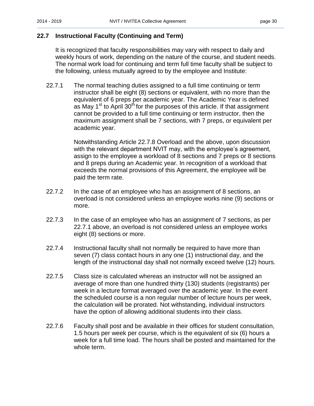## <span id="page-33-0"></span>**22.7 Instructional Faculty (Continuing and Term)**

It is recognized that faculty responsibilities may vary with respect to daily and weekly hours of work, depending on the nature of the course, and student needs. The normal work load for continuing and term full time faculty shall be subject to the following, unless mutually agreed to by the employee and Institute:

22.7.1 The normal teaching duties assigned to a full time continuing or term instructor shall be eight (8) sections or equivalent, with no more than the equivalent of 6 preps per academic year. The Academic Year is defined as May 1<sup>st</sup> to April 30<sup>th</sup> for the purposes of this article. If that assignment cannot be provided to a full time continuing or term instructor, then the maximum assignment shall be 7 sections, with 7 preps, or equivalent per academic year.

> Notwithstanding Article 22.7.8 Overload and the above, upon discussion with the relevant department NVIT may, with the employee's agreement, assign to the employee a workload of 8 sections and 7 preps or 8 sections and 8 preps during an Academic year. In recognition of a workload that exceeds the normal provisions of this Agreement, the employee will be paid the term rate.

- 22.7.2 In the case of an employee who has an assignment of 8 sections, an overload is not considered unless an employee works nine (9) sections or more.
- 22.7.3 In the case of an employee who has an assignment of 7 sections, as per 22.7.1 above, an overload is not considered unless an employee works eight (8) sections or more.
- 22.7.4 Instructional faculty shall not normally be required to have more than seven (7) class contact hours in any one (1) instructional day, and the length of the instructional day shall not normally exceed twelve (12) hours.
- 22.7.5 Class size is calculated whereas an instructor will not be assigned an average of more than one hundred thirty (130) students (registrants) per week in a lecture format averaged over the academic year. In the event the scheduled course is a non regular number of lecture hours per week, the calculation will be prorated. Not withstanding, individual instructors have the option of allowing additional students into their class.
- 22.7.6 Faculty shall post and be available in their offices for student consultation, 1.5 hours per week per course, which is the equivalent of six (6) hours a week for a full time load. The hours shall be posted and maintained for the whole term.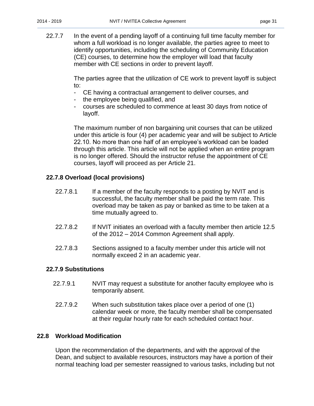22.7.7 In the event of a pending layoff of a continuing full time faculty member for whom a full workload is no longer available, the parties agree to meet to identify opportunities, including the scheduling of Community Education (CE) courses, to determine how the employer will load that faculty member with CE sections in order to prevent layoff.

> The parties agree that the utilization of CE work to prevent layoff is subject to:

- CE having a contractual arrangement to deliver courses, and
- the employee being qualified, and
- courses are scheduled to commence at least 30 days from notice of layoff.

The maximum number of non bargaining unit courses that can be utilized under this article is four (4) per academic year and will be subject to Article 22.10. No more than one half of an employee's workload can be loaded through this article. This article will not be applied when an entire program is no longer offered. Should the instructor refuse the appointment of CE courses, layoff will proceed as per Article 21.

#### **22.7.8 Overload (local provisions)**

- 22.7.8.1 If a member of the faculty responds to a posting by NVIT and is successful, the faculty member shall be paid the term rate. This overload may be taken as pay or banked as time to be taken at a time mutually agreed to.
- 22.7.8.2 If NVIT initiates an overload with a faculty member then article 12.5 of the 2012 – 2014 Common Agreement shall apply.
- 22.7.8.3 Sections assigned to a faculty member under this article will not normally exceed 2 in an academic year.

#### **22.7.9 Substitutions**

- 22.7.9.1 NVIT may request a substitute for another faculty employee who is temporarily absent.
- 22.7.9.2 When such substitution takes place over a period of one (1) calendar week or more, the faculty member shall be compensated at their regular hourly rate for each scheduled contact hour.

#### <span id="page-34-0"></span>**22.8 Workload Modification**

Upon the recommendation of the departments, and with the approval of the Dean, and subject to available resources, instructors may have a portion of their normal teaching load per semester reassigned to various tasks, including but not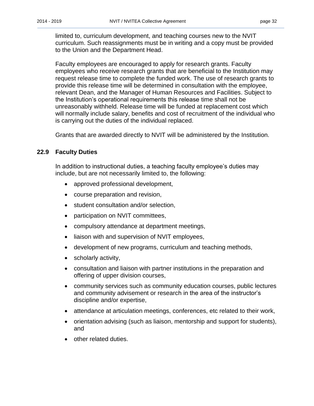limited to, curriculum development, and teaching courses new to the NVIT curriculum. Such reassignments must be in writing and a copy must be provided to the Union and the Department Head.

Faculty employees are encouraged to apply for research grants. Faculty employees who receive research grants that are beneficial to the Institution may request release time to complete the funded work. The use of research grants to provide this release time will be determined in consultation with the employee, relevant Dean, and the Manager of Human Resources and Facilities. Subject to the Institution's operational requirements this release time shall not be unreasonably withheld. Release time will be funded at replacement cost which will normally include salary, benefits and cost of recruitment of the individual who is carrying out the duties of the individual replaced.

Grants that are awarded directly to NVIT will be administered by the Institution.

#### <span id="page-35-0"></span>**22.9 Faculty Duties**

In addition to instructional duties, a teaching faculty employee's duties may include, but are not necessarily limited to, the following:

- approved professional development,
- course preparation and revision,
- student consultation and/or selection,
- participation on NVIT committees,
- compulsory attendance at department meetings,
- liaison with and supervision of NVIT employees,
- development of new programs, curriculum and teaching methods,
- scholarly activity,
- consultation and liaison with partner institutions in the preparation and offering of upper division courses,
- community services such as community education courses, public lectures and community advisement or research in the area of the instructor's discipline and/or expertise,
- attendance at articulation meetings, conferences, etc related to their work,
- orientation advising (such as liaison, mentorship and support for students), and
- other related duties.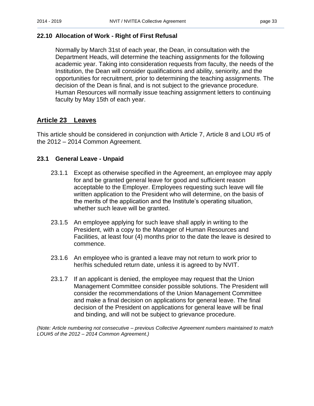#### <span id="page-36-0"></span>**22.10 Allocation of Work - Right of First Refusal**

Normally by March 31st of each year, the Dean, in consultation with the Department Heads, will determine the teaching assignments for the following academic year. Taking into consideration requests from faculty, the needs of the Institution, the Dean will consider qualifications and ability, seniority, and the opportunities for recruitment, prior to determining the teaching assignments. The decision of the Dean is final, and is not subject to the grievance procedure. Human Resources will normally issue teaching assignment letters to continuing faculty by May 15th of each year.

## <span id="page-36-1"></span>**Article 23 Leaves**

This article should be considered in conjunction with Article 7, Article 8 and LOU #5 of the 2012 – 2014 Common Agreement.

#### <span id="page-36-2"></span>**23.1 General Leave - Unpaid**

- 23.1.1 Except as otherwise specified in the Agreement, an employee may apply for and be granted general leave for good and sufficient reason acceptable to the Employer. Employees requesting such leave will file written application to the President who will determine, on the basis of the merits of the application and the Institute's operating situation, whether such leave will be granted.
- 23.1.5 An employee applying for such leave shall apply in writing to the President, with a copy to the Manager of Human Resources and Facilities, at least four (4) months prior to the date the leave is desired to commence.
- 23.1.6 An employee who is granted a leave may not return to work prior to her/his scheduled return date, unless it is agreed to by NVIT.
- 23.1.7 If an applicant is denied, the employee may request that the Union Management Committee consider possible solutions. The President will consider the recommendations of the Union Management Committee and make a final decision on applications for general leave. The final decision of the President on applications for general leave will be final and binding, and will not be subject to grievance procedure.

*(Note: Article numbering not consecutive – previous Collective Agreement numbers maintained to match LOU#5 of the 2012 – 2014 Common Agreement.)*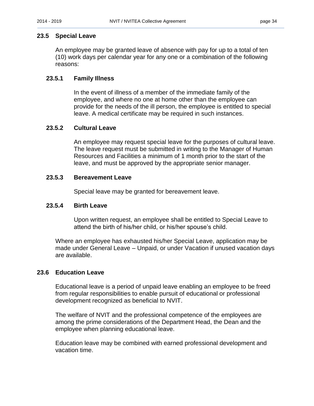#### <span id="page-37-0"></span>**23.5 Special Leave**

An employee may be granted leave of absence with pay for up to a total of ten (10) work days per calendar year for any one or a combination of the following reasons:

#### **23.5.1 Family Illness**

In the event of illness of a member of the immediate family of the employee, and where no one at home other than the employee can provide for the needs of the ill person, the employee is entitled to special leave. A medical certificate may be required in such instances.

#### **23.5.2 Cultural Leave**

An employee may request special leave for the purposes of cultural leave. The leave request must be submitted in writing to the Manager of Human Resources and Facilities a minimum of 1 month prior to the start of the leave, and must be approved by the appropriate senior manager.

#### **23.5.3 Bereavement Leave**

Special leave may be granted for bereavement leave.

#### **23.5.4 Birth Leave**

Upon written request, an employee shall be entitled to Special Leave to attend the birth of his/her child, or his/her spouse's child.

Where an employee has exhausted his/her Special Leave, application may be made under General Leave – Unpaid, or under Vacation if unused vacation days are available.

#### <span id="page-37-1"></span>**23.6 Education Leave**

Educational leave is a period of unpaid leave enabling an employee to be freed from regular responsibilities to enable pursuit of educational or professional development recognized as beneficial to NVIT.

The welfare of NVIT and the professional competence of the employees are among the prime considerations of the Department Head, the Dean and the employee when planning educational leave.

Education leave may be combined with earned professional development and vacation time.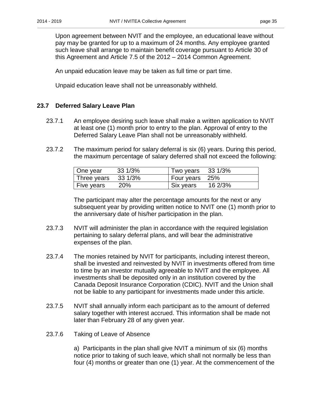Upon agreement between NVIT and the employee, an educational leave without pay may be granted for up to a maximum of 24 months. Any employee granted such leave shall arrange to maintain benefit coverage pursuant to Article 30 of this Agreement and Article 7.5 of the 2012 – 2014 Common Agreement.

An unpaid education leave may be taken as full time or part time.

Unpaid education leave shall not be unreasonably withheld.

#### <span id="page-38-0"></span>**23.7 Deferred Salary Leave Plan**

- 23.7.1 An employee desiring such leave shall make a written application to NVIT at least one (1) month prior to entry to the plan. Approval of entry to the Deferred Salary Leave Plan shall not be unreasonably withheld.
- 23.7.2 The maximum period for salary deferral is six (6) years. During this period, the maximum percentage of salary deferred shall not exceed the following:

| One year                      | 33 1/3% | Two years 33 1/3% |         |
|-------------------------------|---------|-------------------|---------|
| Three years $33\frac{1}{3\%}$ |         | Four years 25%    |         |
| <b>Five years</b>             | 20%     | Six years         | 16 2/3% |

The participant may alter the percentage amounts for the next or any subsequent year by providing written notice to NVIT one (1) month prior to the anniversary date of his/her participation in the plan.

- 23.7.3 NVIT will administer the plan in accordance with the required legislation pertaining to salary deferral plans, and will bear the administrative expenses of the plan.
- 23.7.4 The monies retained by NVIT for participants, including interest thereon, shall be invested and reinvested by NVIT in investments offered from time to time by an investor mutually agreeable to NVIT and the employee. All investments shall be deposited only in an institution covered by the Canada Deposit Insurance Corporation (CDIC). NVIT and the Union shall not be liable to any participant for investments made under this article.
- 23.7.5 NVIT shall annually inform each participant as to the amount of deferred salary together with interest accrued. This information shall be made not later than February 28 of any given year.
- 23.7.6 Taking of Leave of Absence

a) Participants in the plan shall give NVIT a minimum of six (6) months notice prior to taking of such leave, which shall not normally be less than four (4) months or greater than one (1) year. At the commencement of the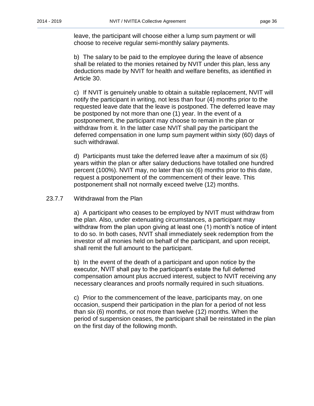leave, the participant will choose either a lump sum payment or will choose to receive regular semi-monthly salary payments.

b) The salary to be paid to the employee during the leave of absence shall be related to the monies retained by NVIT under this plan, less any deductions made by NVIT for health and welfare benefits, as identified in Article 30.

c) If NVIT is genuinely unable to obtain a suitable replacement, NVIT will notify the participant in writing, not less than four (4) months prior to the requested leave date that the leave is postponed. The deferred leave may be postponed by not more than one (1) year. In the event of a postponement, the participant may choose to remain in the plan or withdraw from it. In the latter case NVIT shall pay the participant the deferred compensation in one lump sum payment within sixty (60) days of such withdrawal.

d) Participants must take the deferred leave after a maximum of six (6) years within the plan or after salary deductions have totalled one hundred percent (100%). NVIT may, no later than six (6) months prior to this date, request a postponement of the commencement of their leave. This postponement shall not normally exceed twelve (12) months.

#### 23.7.7 Withdrawal from the Plan

a) A participant who ceases to be employed by NVIT must withdraw from the plan. Also, under extenuating circumstances, a participant may withdraw from the plan upon giving at least one (1) month's notice of intent to do so. In both cases, NVIT shall immediately seek redemption from the investor of all monies held on behalf of the participant, and upon receipt, shall remit the full amount to the participant.

b) In the event of the death of a participant and upon notice by the executor, NVIT shall pay to the participant's estate the full deferred compensation amount plus accrued interest, subject to NVIT receiving any necessary clearances and proofs normally required in such situations.

c) Prior to the commencement of the leave, participants may, on one occasion, suspend their participation in the plan for a period of not less than six (6) months, or not more than twelve (12) months. When the period of suspension ceases, the participant shall be reinstated in the plan on the first day of the following month.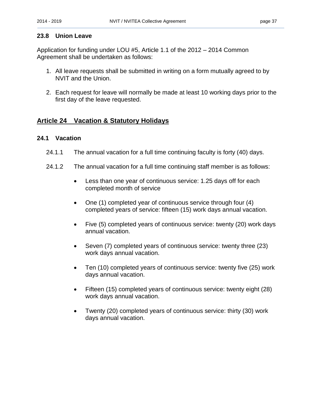#### <span id="page-40-0"></span>**23.8 Union Leave**

Application for funding under LOU #5, Article 1.1 of the 2012 – 2014 Common Agreement shall be undertaken as follows:

- 1. All leave requests shall be submitted in writing on a form mutually agreed to by NVIT and the Union.
- 2. Each request for leave will normally be made at least 10 working days prior to the first day of the leave requested.

## <span id="page-40-1"></span>**Article 24 Vacation & Statutory Holidays**

#### <span id="page-40-2"></span>**24.1 Vacation**

- 24.1.1 The annual vacation for a full time continuing faculty is forty (40) days.
- 24.1.2 The annual vacation for a full time continuing staff member is as follows:
	- Less than one year of continuous service: 1.25 days off for each completed month of service
	- One (1) completed year of continuous service through four (4) completed years of service: fifteen (15) work days annual vacation.
	- Five (5) completed years of continuous service: twenty (20) work days annual vacation.
	- Seven (7) completed years of continuous service: twenty three (23) work days annual vacation.
	- Ten (10) completed years of continuous service: twenty five (25) work days annual vacation.
	- Fifteen (15) completed years of continuous service: twenty eight (28) work days annual vacation.
	- Twenty (20) completed years of continuous service: thirty (30) work days annual vacation.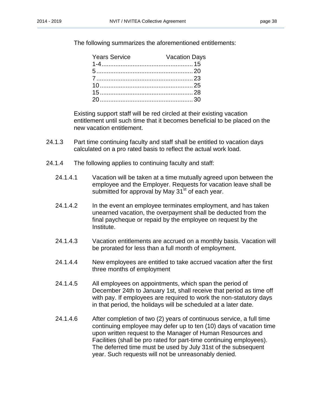The following summarizes the aforementioned entitlements:

| <b>Years Service</b> | <b>Vacation Days</b> |
|----------------------|----------------------|
|                      |                      |
|                      |                      |
|                      |                      |
|                      |                      |
|                      |                      |
|                      |                      |

Existing support staff will be red circled at their existing vacation entitlement until such time that it becomes beneficial to be placed on the new vacation entitlement.

- 24.1.3 Part time continuing faculty and staff shall be entitled to vacation days calculated on a pro rated basis to reflect the actual work load.
- 24.1.4 The following applies to continuing faculty and staff:
	- 24.1.4.1 Vacation will be taken at a time mutually agreed upon between the employee and the Employer. Requests for vacation leave shall be submitted for approval by May  $31<sup>st</sup>$  of each year.
	- 24.1.4.2 In the event an employee terminates employment, and has taken unearned vacation, the overpayment shall be deducted from the final paycheque or repaid by the employee on request by the Institute.
	- 24.1.4.3 Vacation entitlements are accrued on a monthly basis. Vacation will be prorated for less than a full month of employment.
	- 24.1.4.4 New employees are entitled to take accrued vacation after the first three months of employment
	- 24.1.4.5 All employees on appointments, which span the period of December 24th to January 1st, shall receive that period as time off with pay. If employees are required to work the non-statutory days in that period, the holidays will be scheduled at a later date.
	- 24.1.4.6 After completion of two (2) years of continuous service, a full time continuing employee may defer up to ten (10) days of vacation time upon written request to the Manager of Human Resources and Facilities (shall be pro rated for part-time continuing employees). The deferred time must be used by July 31st of the subsequent year. Such requests will not be unreasonably denied.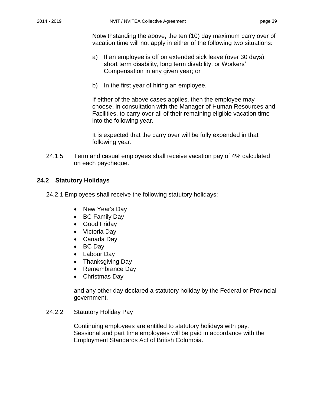Notwithstanding the above**,** the ten (10) day maximum carry over of vacation time will not apply in either of the following two situations:

- a) If an employee is off on extended sick leave (over 30 days), short term disability, long term disability, or Workers' Compensation in any given year; or
- b) In the first year of hiring an employee.

If either of the above cases applies, then the employee may choose, in consultation with the Manager of Human Resources and Facilities, to carry over all of their remaining eligible vacation time into the following year.

It is expected that the carry over will be fully expended in that following year.

24.1.5 Term and casual employees shall receive vacation pay of 4% calculated on each paycheque.

#### <span id="page-42-0"></span>**24.2 Statutory Holidays**

- 24.2.1 Employees shall receive the following statutory holidays:
	- New Year's Day
	- BC Family Day
	- Good Friday
	- Victoria Dav
	- Canada Day
	- BC Day
	- Labour Day
	- Thanksgiving Day
	- Remembrance Day
	- Christmas Day

and any other day declared a statutory holiday by the Federal or Provincial government.

#### 24.2.2 Statutory Holiday Pay

Continuing employees are entitled to statutory holidays with pay. Sessional and part time employees will be paid in accordance with the Employment Standards Act of British Columbia.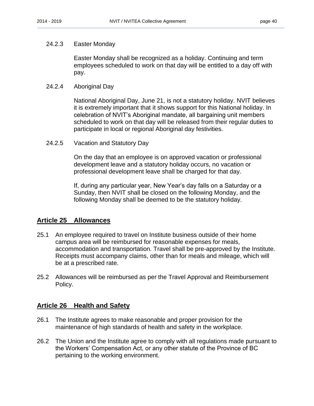#### 24.2.3 Easter Monday

Easter Monday shall be recognized as a holiday. Continuing and term employees scheduled to work on that day will be entitled to a day off with pay.

#### 24.2.4 Aboriginal Day

National Aboriginal Day, June 21, is not a statutory holiday. NVIT believes it is extremely important that it shows support for this National holiday. In celebration of NVIT's Aboriginal mandate, all bargaining unit members scheduled to work on that day will be released from their regular duties to participate in local or regional Aboriginal day festivities.

24.2.5 Vacation and Statutory Day

On the day that an employee is on approved vacation or professional development leave and a statutory holiday occurs, no vacation or professional development leave shall be charged for that day.

If, during any particular year, New Year's day falls on a Saturday or a Sunday, then NVIT shall be closed on the following Monday, and the following Monday shall be deemed to be the statutory holiday.

## <span id="page-43-0"></span>**Article 25 Allowances**

- 25.1 An employee required to travel on Institute business outside of their home campus area will be reimbursed for reasonable expenses for meals, accommodation and transportation. Travel shall be pre-approved by the Institute. Receipts must accompany claims, other than for meals and mileage, which will be at a prescribed rate.
- 25.2 Allowances will be reimbursed as per the Travel Approval and Reimbursement Policy.

#### <span id="page-43-1"></span>**Article 26 Health and Safety**

- 26.1 The Institute agrees to make reasonable and proper provision for the maintenance of high standards of health and safety in the workplace.
- 26.2 The Union and the Institute agree to comply with all regulations made pursuant to the Workers' Compensation Act, or any other statute of the Province of BC pertaining to the working environment.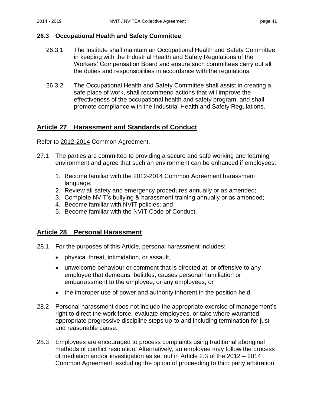#### <span id="page-44-0"></span>**26.3 Occupational Health and Safety Committee**

- 26.3.1 The Institute shall maintain an Occupational Health and Safety Committee in keeping with the Industrial Health and Safety Regulations of the Workers' Compensation Board and ensure such committees carry out all the duties and responsibilities in accordance with the regulations.
- 26.3.2 The Occupational Health and Safety Committee shall assist in creating a safe place of work, shall recommend actions that will improve the effectiveness of the occupational health and safety program, and shall promote compliance with the Industrial Health and Safety Regulations.

## <span id="page-44-1"></span>**Article 27 Harassment and Standards of Conduct**

Refer to 2012-2014 Common Agreement.

- 27.1 The parties are committed to providing a secure and safe working and learning environment and agree that such an environment can be enhanced if employees:
	- 1. Become familiar with the 2012-2014 Common Agreement harassment language;
	- 2. Review all safety and emergency procedures annually or as amended;
	- 3. Complete NVIT's bullying & harassment training annually or as amended;
	- 4. Become familiar with NVIT policies; and
	- 5. Become familiar with the NVIT Code of Conduct.

## <span id="page-44-2"></span>**Article 28 Personal Harassment**

- 28.1 For the purposes of this Article, personal harassment includes:
	- physical threat, intimidation, or assault,
	- unwelcome behaviour or comment that is directed at, or offensive to any employee that demeans, belittles, causes personal humiliation or embarrassment to the employee, or any employees, or
	- the improper use of power and authority inherent in the position held.
- 28.2 Personal harassment does not include the appropriate exercise of management's right to direct the work force, evaluate employees, or take where warranted appropriate progressive discipline steps up-to and including termination for just and reasonable cause.
- 28.3 Employees are encouraged to process complaints using traditional aboriginal methods of conflict resolution. Alternatively, an employee may follow the process of mediation and/or investigation as set out in Article 2.3 of the 2012 – 2014 Common Agreement, excluding the option of proceeding to third party arbitration.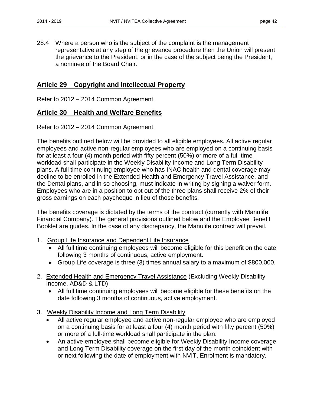28.4 Where a person who is the subject of the complaint is the management representative at any step of the grievance procedure then the Union will present the grievance to the President, or in the case of the subject being the President, a nominee of the Board Chair.

## <span id="page-45-0"></span>**Article 29 Copyright and Intellectual Property**

Refer to 2012 – 2014 Common Agreement.

#### <span id="page-45-1"></span>**Article 30 Health and Welfare Benefits**

Refer to 2012 – 2014 Common Agreement.

The benefits outlined below will be provided to all eligible employees. All active regular employees and active non-regular employees who are employed on a continuing basis for at least a four (4) month period with fifty percent (50%) or more of a full-time workload shall participate in the Weekly Disability Income and Long Term Disability plans. A full time continuing employee who has INAC health and dental coverage may decline to be enrolled in the Extended Health and Emergency Travel Assistance, and the Dental plans, and in so choosing, must indicate in writing by signing a waiver form. Employees who are in a position to opt out of the three plans shall receive 2% of their gross earnings on each paycheque in lieu of those benefits.

The benefits coverage is dictated by the terms of the contract (currently with Manulife Financial Company). The general provisions outlined below and the Employee Benefit Booklet are guides. In the case of any discrepancy, the Manulife contract will prevail.

- 1. Group Life Insurance and Dependent Life Insurance
	- All full time continuing employees will become eligible for this benefit on the date following 3 months of continuous, active employment.
	- Group Life coverage is three (3) times annual salary to a maximum of \$800,000.
- 2. Extended Health and Emergency Travel Assistance (Excluding Weekly Disability Income, AD&D & LTD)
	- All full time continuing employees will become eligible for these benefits on the date following 3 months of continuous, active employment.
- 3. Weekly Disability Income and Long Term Disability
	- All active regular employee and active non-regular employee who are employed on a continuing basis for at least a four (4) month period with fifty percent (50%) or more of a full-time workload shall participate in the plan.
	- An active employee shall become eligible for Weekly Disability Income coverage and Long Term Disability coverage on the first day of the month coincident with or next following the date of employment with NVIT. Enrolment is mandatory.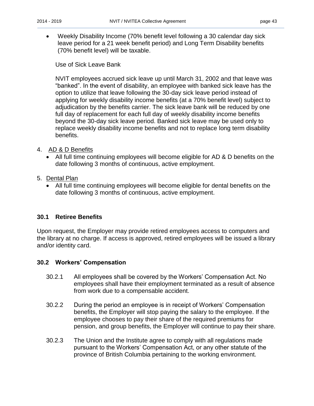Weekly Disability Income (70% benefit level following a 30 calendar day sick leave period for a 21 week benefit period) and Long Term Disability benefits (70% benefit level) will be taxable.

Use of Sick Leave Bank

NVIT employees accrued sick leave up until March 31, 2002 and that leave was "banked". In the event of disability, an employee with banked sick leave has the option to utilize that leave following the 30-day sick leave period instead of applying for weekly disability income benefits (at a 70% benefit level) subject to adjudication by the benefits carrier. The sick leave bank will be reduced by one full day of replacement for each full day of weekly disability income benefits beyond the 30-day sick leave period. Banked sick leave may be used only to replace weekly disability income benefits and not to replace long term disability benefits.

- 4. AD & D Benefits
	- All full time continuing employees will become eligible for AD & D benefits on the date following 3 months of continuous, active employment.
- 5. Dental Plan
	- All full time continuing employees will become eligible for dental benefits on the date following 3 months of continuous, active employment.

#### <span id="page-46-0"></span>**30.1 Retiree Benefits**

Upon request, the Employer may provide retired employees access to computers and the library at no charge. If access is approved, retired employees will be issued a library and/or identity card.

#### <span id="page-46-1"></span>**30.2 Workers' Compensation**

- 30.2.1 All employees shall be covered by the Workers' Compensation Act. No employees shall have their employment terminated as a result of absence from work due to a compensable accident.
- 30.2.2 During the period an employee is in receipt of Workers' Compensation benefits, the Employer will stop paying the salary to the employee. If the employee chooses to pay their share of the required premiums for pension, and group benefits, the Employer will continue to pay their share.
- 30.2.3 The Union and the Institute agree to comply with all regulations made pursuant to the Workers' Compensation Act, or any other statute of the province of British Columbia pertaining to the working environment.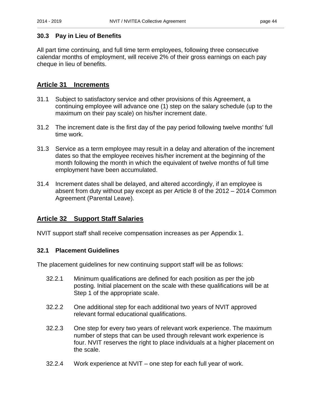#### <span id="page-47-0"></span>**30.3 Pay in Lieu of Benefits**

All part time continuing, and full time term employees, following three consecutive calendar months of employment, will receive 2% of their gross earnings on each pay cheque in lieu of benefits.

## <span id="page-47-1"></span>**Article 31 Increments**

- 31.1 Subject to satisfactory service and other provisions of this Agreement, a continuing employee will advance one (1) step on the salary schedule (up to the maximum on their pay scale) on his/her increment date.
- 31.2 The increment date is the first day of the pay period following twelve months' full time work.
- 31.3 Service as a term employee may result in a delay and alteration of the increment dates so that the employee receives his/her increment at the beginning of the month following the month in which the equivalent of twelve months of full time employment have been accumulated.
- 31.4 Increment dates shall be delayed, and altered accordingly, if an employee is absent from duty without pay except as per Article 8 of the 2012 – 2014 Common Agreement (Parental Leave).

## <span id="page-47-2"></span>**Article 32 Support Staff Salaries**

NVIT support staff shall receive compensation increases as per Appendix 1.

#### <span id="page-47-3"></span>**32.1 Placement Guidelines**

The placement guidelines for new continuing support staff will be as follows:

- 32.2.1 Minimum qualifications are defined for each position as per the job posting. Initial placement on the scale with these qualifications will be at Step 1 of the appropriate scale.
- 32.2.2 One additional step for each additional two years of NVIT approved relevant formal educational qualifications.
- 32.2.3 One step for every two years of relevant work experience. The maximum number of steps that can be used through relevant work experience is four. NVIT reserves the right to place individuals at a higher placement on the scale.
- 32.2.4 Work experience at NVIT one step for each full year of work.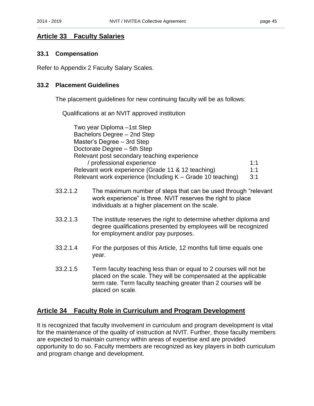## <span id="page-48-0"></span>**Article 33 Faculty Salaries**

#### <span id="page-48-1"></span>**33.1 Compensation**

Refer to Appendix 2 Faculty Salary Scales.

#### <span id="page-48-2"></span>**33.2 Placement Guidelines**

The placement guidelines for new continuing faculty will be as follows:

Qualifications at an NVIT approved institution

Two year Diploma –1st Step Bachelors Degree – 2nd Step Master's Degree – 3rd Step Doctorate Degree – 5th Step Relevant post secondary teaching experience / professional experience 1:1 Relevant work experience (Grade 11 & 12 teaching) 1:1 Relevant work experience (Including  $K -$  Grade 10 teaching) 3:1

- 33.2.1.2 The maximum number of steps that can be used through "relevant work experience" is three. NVIT reserves the right to place individuals at a higher placement on the scale.
- 33.2.1.3 The institute reserves the right to determine whether diploma and degree qualifications presented by employees will be recognized for employment and/or pay purposes.
- 33.2.1.4 For the purposes of this Article, 12 months full time equals one year.
- 33.2.1.5 Term faculty teaching less than or equal to 2 courses will not be placed on the scale. They will be compensated at the applicable term rate. Term faculty teaching greater than 2 courses will be placed on scale.

## <span id="page-48-3"></span>**Article 34 Faculty Role in Curriculum and Program Development**

It is recognized that faculty involvement in curriculum and program development is vital for the maintenance of the quality of instruction at NVIT. Further, those faculty members are expected to maintain currency within areas of expertise and are provided opportunity to do so. Faculty members are recognized as key players in both curriculum and program change and development.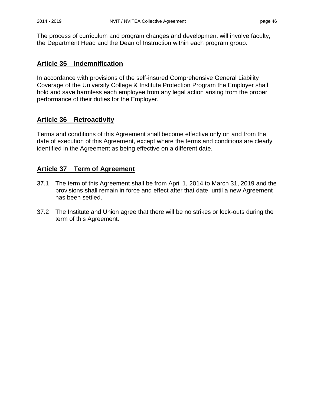The process of curriculum and program changes and development will involve faculty, the Department Head and the Dean of Instruction within each program group.

## <span id="page-49-0"></span>**Article 35 Indemnification**

In accordance with provisions of the self-insured Comprehensive General Liability Coverage of the University College & Institute Protection Program the Employer shall hold and save harmless each employee from any legal action arising from the proper performance of their duties for the Employer.

## <span id="page-49-1"></span>**Article 36 Retroactivity**

Terms and conditions of this Agreement shall become effective only on and from the date of execution of this Agreement, except where the terms and conditions are clearly identified in the Agreement as being effective on a different date.

## <span id="page-49-2"></span>**Article 37 Term of Agreement**

- 37.1 The term of this Agreement shall be from April 1, 2014 to March 31, 2019 and the provisions shall remain in force and effect after that date, until a new Agreement has been settled.
- 37.2 The Institute and Union agree that there will be no strikes or lock-outs during the term of this Agreement.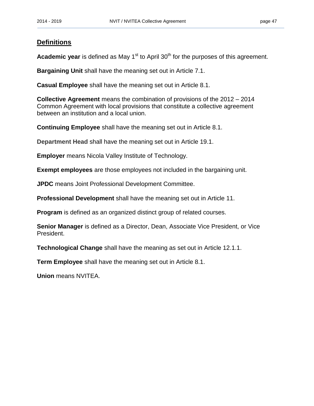## <span id="page-50-0"></span>**Definitions**

**Academic year** is defined as May 1<sup>st</sup> to April 30<sup>th</sup> for the purposes of this agreement.

**Bargaining Unit** shall have the meaning set out in Article 7.1.

**Casual Employee** shall have the meaning set out in Article 8.1.

**Collective Agreement** means the combination of provisions of the 2012 – 2014 Common Agreement with local provisions that constitute a collective agreement between an institution and a local union.

**Continuing Employee** shall have the meaning set out in Article 8.1.

**Department Head** shall have the meaning set out in Article 19.1.

**Employer** means Nicola Valley Institute of Technology.

**Exempt employees** are those employees not included in the bargaining unit.

**JPDC** means Joint Professional Development Committee.

**Professional Development** shall have the meaning set out in Article 11.

**Program** is defined as an organized distinct group of related courses.

**Senior Manager** is defined as a Director, Dean, Associate Vice President, or Vice President.

**Technological Change** shall have the meaning as set out in Article 12.1.1.

**Term Employee** shall have the meaning set out in Article 8.1.

**Union** means NVITEA.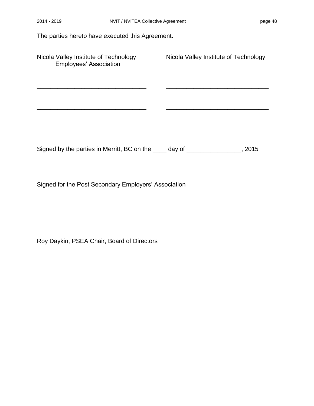The parties hereto have executed this Agreement. Nicola Valley Institute of Technology Nicola Valley Institute of Technology Employees' Association \_\_\_\_\_\_\_\_\_\_\_\_\_\_\_\_\_\_\_\_\_\_\_\_\_\_\_\_\_\_\_\_ \_\_\_\_\_\_\_\_\_\_\_\_\_\_\_\_\_\_\_\_\_\_\_\_\_\_\_\_\_\_ \_\_\_\_\_\_\_\_\_\_\_\_\_\_\_\_\_\_\_\_\_\_\_\_\_\_\_\_\_\_\_\_ \_\_\_\_\_\_\_\_\_\_\_\_\_\_\_\_\_\_\_\_\_\_\_\_\_\_\_\_\_\_ Signed by the parties in Merritt, BC on the \_\_\_\_ day of \_\_\_\_\_\_\_\_\_\_\_\_\_\_\_, 2015

Signed for the Post Secondary Employers' Association

Roy Daykin, PSEA Chair, Board of Directors

 $\overline{\phantom{a}}$  , and the contract of the contract of the contract of the contract of the contract of the contract of the contract of the contract of the contract of the contract of the contract of the contract of the contrac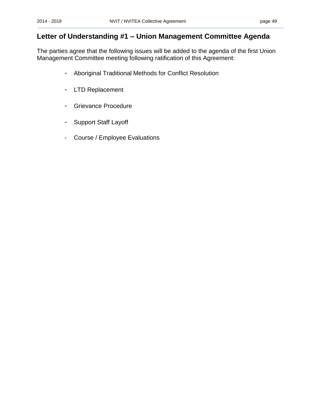## <span id="page-52-0"></span>**Letter of Understanding #1 – Union Management Committee Agenda**

The parties agree that the following issues will be added to the agenda of the first Union Management Committee meeting following ratification of this Agreement:

- Aboriginal Traditional Methods for Conflict Resolution
- LTD Replacement
- Grievance Procedure
- Support Staff Layoff
- Course / Employee Evaluations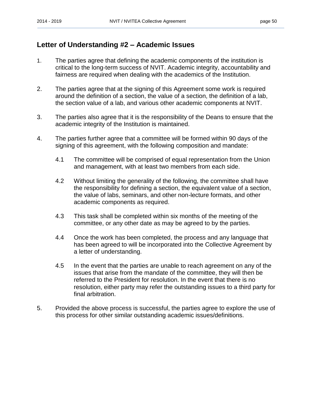## <span id="page-53-0"></span>**Letter of Understanding #2 – Academic Issues**

- 1. The parties agree that defining the academic components of the institution is critical to the long-term success of NVIT. Academic integrity, accountability and fairness are required when dealing with the academics of the Institution.
- 2. The parties agree that at the signing of this Agreement some work is required around the definition of a section, the value of a section, the definition of a lab, the section value of a lab, and various other academic components at NVIT.
- 3. The parties also agree that it is the responsibility of the Deans to ensure that the academic integrity of the Institution is maintained.
- 4. The parties further agree that a committee will be formed within 90 days of the signing of this agreement, with the following composition and mandate:
	- 4.1 The committee will be comprised of equal representation from the Union and management, with at least two members from each side.
	- 4.2 Without limiting the generality of the following, the committee shall have the responsibility for defining a section, the equivalent value of a section, the value of labs, seminars, and other non-lecture formats, and other academic components as required.
	- 4.3 This task shall be completed within six months of the meeting of the committee, or any other date as may be agreed to by the parties.
	- 4.4 Once the work has been completed, the process and any language that has been agreed to will be incorporated into the Collective Agreement by a letter of understanding.
	- 4.5 In the event that the parties are unable to reach agreement on any of the issues that arise from the mandate of the committee, they will then be referred to the President for resolution. In the event that there is no resolution, either party may refer the outstanding issues to a third party for final arbitration.
- 5. Provided the above process is successful, the parties agree to explore the use of this process for other similar outstanding academic issues/definitions.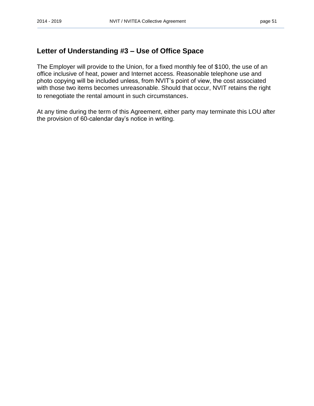## <span id="page-54-0"></span>**Letter of Understanding #3 – Use of Office Space**

The Employer will provide to the Union, for a fixed monthly fee of \$100, the use of an office inclusive of heat, power and Internet access. Reasonable telephone use and photo copying will be included unless, from NVIT's point of view, the cost associated with those two items becomes unreasonable. Should that occur, NVIT retains the right to renegotiate the rental amount in such circumstances.

At any time during the term of this Agreement, either party may terminate this LOU after the provision of 60-calendar day's notice in writing.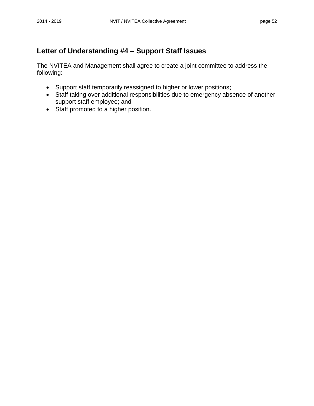## <span id="page-55-0"></span>**Letter of Understanding #4 – Support Staff Issues**

The NVITEA and Management shall agree to create a joint committee to address the following:

- Support staff temporarily reassigned to higher or lower positions;
- Staff taking over additional responsibilities due to emergency absence of another support staff employee; and
- Staff promoted to a higher position.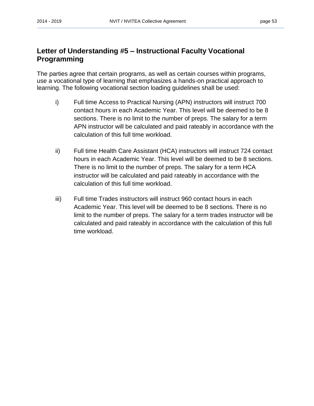## <span id="page-56-0"></span>**Letter of Understanding #5 – Instructional Faculty Vocational Programming**

The parties agree that certain programs, as well as certain courses within programs, use a vocational type of learning that emphasizes a hands-on practical approach to learning. The following vocational section loading guidelines shall be used:

- i) Full time Access to Practical Nursing (APN) instructors will instruct 700 contact hours in each Academic Year. This level will be deemed to be 8 sections. There is no limit to the number of preps. The salary for a term APN instructor will be calculated and paid rateably in accordance with the calculation of this full time workload.
- ii) Full time Health Care Assistant (HCA) instructors will instruct 724 contact hours in each Academic Year. This level will be deemed to be 8 sections. There is no limit to the number of preps. The salary for a term HCA instructor will be calculated and paid rateably in accordance with the calculation of this full time workload.
- iii) Full time Trades instructors will instruct 960 contact hours in each Academic Year. This level will be deemed to be 8 sections. There is no limit to the number of preps. The salary for a term trades instructor will be calculated and paid rateably in accordance with the calculation of this full time workload.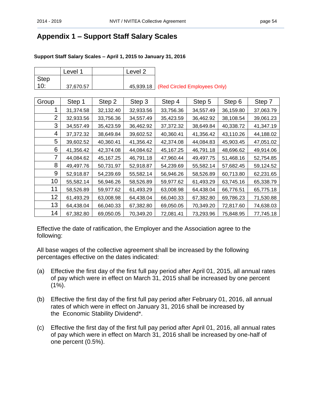## <span id="page-57-0"></span>**Appendix 1 – Support Staff Salary Scales**

#### **Support Staff Salary Scales – April 1, 2015 to January 31, 2016**

|             | Level 1   |           | Level 2   |           |                              |           |           |
|-------------|-----------|-----------|-----------|-----------|------------------------------|-----------|-----------|
| <b>Step</b> |           |           |           |           |                              |           |           |
| 10:         | 37,670.57 |           | 45,939.18 |           | (Red Circled Employees Only) |           |           |
|             |           |           |           |           |                              |           |           |
| Group       | Step 1    | Step 2    | Step 3    | Step 4    | Step 5                       | Step 6    | Step 7    |
| 1           | 31,374.58 | 32,132.40 | 32,933.56 | 33,756.36 | 34,557.49                    | 36,159.80 | 37,063.79 |
| 2           | 32,933.56 | 33,756.36 | 34,557.49 | 35,423.59 | 36,462.92                    | 38,108.54 | 39,061.23 |
| 3           | 34,557.49 | 35,423.59 | 36,462.92 | 37,372.32 | 38,649.84                    | 40,338.72 | 41,347.19 |
| 4           | 37,372.32 | 38,649.84 | 39,602.52 | 40,360.41 | 41,356.42                    | 43,110.26 | 44,188.02 |
| 5           | 39,602.52 | 40,360.41 | 41,356.42 | 42,374.08 | 44,084.83                    | 45,903.45 | 47,051.02 |
| 6           | 41,356.42 | 42,374.08 | 44,084.62 | 45,167.25 | 46,791.18                    | 48,696.62 | 49,914.06 |
| 7           | 44,084.62 | 45,167.25 | 46,791.18 | 47,960.44 | 49,497.75                    | 51,468.16 | 52,754.85 |
| 8           | 49,497.76 | 50,731.97 | 52,918.87 | 54,239.69 | 55,582.14                    | 57,682.45 | 59,124.52 |
| 9           | 52,918.87 | 54,239.69 | 55,582.14 | 56,946.26 | 58,526.89                    | 60,713.80 | 62,231.65 |
| 10          | 55,582.14 | 56,946.26 | 58,526.89 | 59,977.62 | 61,493.29                    | 63,745.16 | 65,338.79 |
| 11          | 58,526.89 | 59,977.62 | 61,493.29 | 63,008.98 | 64,438.04                    | 66,776.51 | 65,775.18 |
| 12          | 61,493.29 | 63,008.98 | 64,438.04 | 66,040.33 | 67,382.80                    | 69,786.23 | 71,530.88 |
| 13          | 64,438.04 | 66,040.33 | 67,382.80 | 69,050.05 | 70,349.20                    | 72,817.60 | 74,638.03 |
| 14          | 67,382.80 | 69,050.05 | 70,349.20 | 72,081.41 | 73,293.96                    | 75,848.95 | 77,745.18 |

Effective the date of ratification, the Employer and the Association agree to the following:

All base wages of the collective agreement shall be increased by the following percentages effective on the dates indicated:

- (a) Effective the first day of the first full pay period after April 01, 2015, all annual rates of pay which were in effect on March 31, 2015 shall be increased by one percent  $(1\%)$ .
- (b) Effective the first day of the first full pay period after February 01, 2016, all annual rates of which were in effect on January 31, 2016 shall be increased by the Economic Stability Dividend\*.
- (c) Effective the first day of the first full pay period after April 01, 2016, all annual rates of pay which were in effect on March 31, 2016 shall be increased by one-half of one percent (0.5%).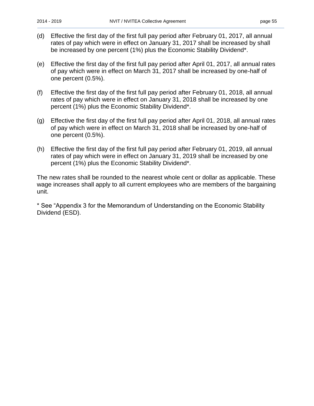- (d) Effective the first day of the first full pay period after February 01, 2017, all annual rates of pay which were in effect on January 31, 2017 shall be increased by shall be increased by one percent (1%) plus the Economic Stability Dividend\*.
- (e) Effective the first day of the first full pay period after April 01, 2017, all annual rates of pay which were in effect on March 31, 2017 shall be increased by one-half of one percent (0.5%).
- (f) Effective the first day of the first full pay period after February 01, 2018, all annual rates of pay which were in effect on January 31, 2018 shall be increased by one percent (1%) plus the Economic Stability Dividend\*.
- (g) Effective the first day of the first full pay period after April 01, 2018, all annual rates of pay which were in effect on March 31, 2018 shall be increased by one-half of one percent (0.5%).
- (h) Effective the first day of the first full pay period after February 01, 2019, all annual rates of pay which were in effect on January 31, 2019 shall be increased by one percent (1%) plus the Economic Stability Dividend\*.

The new rates shall be rounded to the nearest whole cent or dollar as applicable. These wage increases shall apply to all current employees who are members of the bargaining unit.

\* See "Appendix 3 for the Memorandum of Understanding on the Economic Stability Dividend (ESD).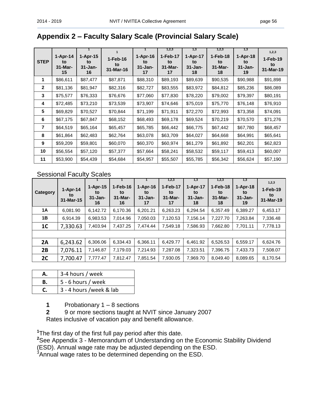## <span id="page-59-0"></span>**Appendix 2 – Faculty Salary Scale (Provincial Salary Scale)**

| <b>STEP</b>  | $1-Apr-14$<br>to<br>$31-Mar-$<br>15 | $1-Apr-15$<br>to<br>$31 - Jan-$<br>16 | 1<br>$1-Feb-16$<br>to<br>31-Mar-16 | $1-Apr-16$<br>to<br>$31 - Jan-$<br>17 | 1,2,3<br>1-Feb-17<br>to<br>$31$ -Mar-<br>17 | 1,3<br>$1-Apr-17$<br>to<br>$31 - Jan-$<br>18 | 1,2,3<br>$1-Feb-18$<br>to<br>$31$ -Mar-<br>18 | 1,3<br>$1-Apr-18$<br>to<br>$31 - Jan-$<br>19 | 1,2,3<br>1-Feb-19<br>to<br>31-Mar-19 |
|--------------|-------------------------------------|---------------------------------------|------------------------------------|---------------------------------------|---------------------------------------------|----------------------------------------------|-----------------------------------------------|----------------------------------------------|--------------------------------------|
| 1            | \$86,611                            | \$87,477                              | \$87,871                           | \$88,310                              | \$89,193                                    | \$89,639                                     | \$90,535                                      | \$90,988                                     | \$91,898                             |
| $\mathbf{2}$ | \$81,136                            | \$81,947                              | \$82,316                           | \$82,727                              | \$83,555                                    | \$83,972                                     | \$84,812                                      | \$85,236                                     | \$86,089                             |
| 3            | \$75,577                            | \$76,333                              | \$76,676                           | \$77,060                              | \$77,830                                    | \$78,220                                     | \$79,002                                      | \$79,397                                     | \$80,191                             |
| 4            | \$72,485                            | \$73,210                              | \$73,539                           | \$73,907                              | \$74,646                                    | \$75,019                                     | \$75,770                                      | \$76,148                                     | \$76,910                             |
| 5            | \$69,829                            | \$70,527                              | \$70,844                           | \$71,199                              | \$71,911                                    | \$72,270                                     | \$72,993                                      | \$73,358                                     | \$74,091                             |
| 6            | \$67,175                            | \$67,847                              | \$68,152                           | \$68,493                              | \$69,178                                    | \$69,524                                     | \$70,219                                      | \$70,570                                     | \$71,276                             |
| 7            | \$64,519                            | \$65,164                              | \$65,457                           | \$65,785                              | \$66,442                                    | \$66,775                                     | \$67,442                                      | \$67,780                                     | \$68,457                             |
| 8            | \$61,864                            | \$62,483                              | \$62,764                           | \$63,078                              | \$63,709                                    | \$64,027                                     | \$64,668                                      | \$64,991                                     | \$65,641                             |
| 9            | \$59,209                            | \$59,801                              | \$60,070                           | \$60,370                              | \$60,974                                    | \$61,279                                     | \$61,892                                      | \$62,201                                     | \$62,823                             |
| 10           | \$56,554                            | \$57,120                              | \$57,377                           | \$57,664                              | \$58,241                                    | \$58,532                                     | \$59,117                                      | \$59,413                                     | \$60,007                             |
| 11           | \$53,900                            | \$54,439                              | \$54,684                           | \$54,957                              | \$55,507                                    | \$55,785                                     | \$56,342                                      | \$56,624                                     | \$57,190                             |

## Sessional Faculty Scales

| Category       | $1-Apr-14$<br>to<br>31-Mar-15 | $1-Apr-15$<br>to<br>$31 - Jan-$<br>16 | $1-Feb-16$<br>to<br>31-Mar-<br>16 | $1-Apr-16$<br>to<br>$31 - Jan-$<br>17 | 1,2,3<br>1-Feb-17<br>to<br>$31 -$ Mar-<br>17 | 1,3<br>$1-Apr-17$<br>to<br>$31 - Jan-$<br>18 | 1,2,3<br>$1-Feb-18$<br>to<br>31-Mar-<br>18 | 1.3<br>$1-Apr-18$<br>to<br>$31 - Jan-$<br>19 | 1,2,3<br>1-Feb-19<br>to<br>31-Mar-19 |
|----------------|-------------------------------|---------------------------------------|-----------------------------------|---------------------------------------|----------------------------------------------|----------------------------------------------|--------------------------------------------|----------------------------------------------|--------------------------------------|
| 1A             | 6,081.90                      | 6,142.72                              | 6,170.36                          | 6,201.21                              | 6,263.23                                     | 6,294.54                                     | 6,357.49                                   | 6,389.27                                     | 6,453.17                             |
| 1В             | 6.914.39                      | 6,983.53                              | 7.014.96                          | 7,050.03                              | 7,120.53                                     | 7,156.14                                     | 7,227.70                                   | 7.263.84                                     | 7,336.48                             |
| 1 <sup>C</sup> | 7,330.63                      | 7,403.94                              | 7,437.25                          | 7,474.44                              | 7,549.18                                     | 7,586.93                                     | 7,662.80                                   | 7,701.11                                     | 7,778.13                             |
|                |                               |                                       |                                   |                                       |                                              |                                              |                                            |                                              |                                      |
| 2A             | 6,243.62                      | 6,306.06                              | 6,334.43                          | 6,366.11                              | 6,429.77                                     | 6,461.92                                     | 6,526.53                                   | 6,559.17                                     | 6,624.76                             |
| 2B             | 7,076.11                      | 7,146.87                              | 7,179.03                          | 7,214.93                              | 7.287.08                                     | 7,323.51                                     | 7,396.75                                   | 7,433.73                                     | 7,508.07                             |
| 2 <sub>C</sub> | 7,700.47                      | 7,777.47                              | 7,812.47                          | 7,851.54                              | 7,930.05                                     | 7,969.70                                     | 8,049.40                                   | 8,089.65                                     | 8,170.54                             |

| 3-4 hours / week<br>А. |                            |  |  |  |  |
|------------------------|----------------------------|--|--|--|--|
| В.                     | $\vert$ 5 - 6 hours / week |  |  |  |  |
|                        | 3 - 4 hours /week & lab    |  |  |  |  |

**1** Probationary 1 – 8 sections

**2** 9 or more sections taught at NVIT since January 2007

Rates inclusive of vacation pay and benefit allowance.

**1** The first day of the first full pay period after this date.

**<sup>2</sup>**See Appendix 3 - Memorandum of Understanding on the Economic Stability Dividend (ESD). Annual wage rate may be adjusted depending on the ESD.

 $3$ Annual wage rates to be determined depending on the ESD.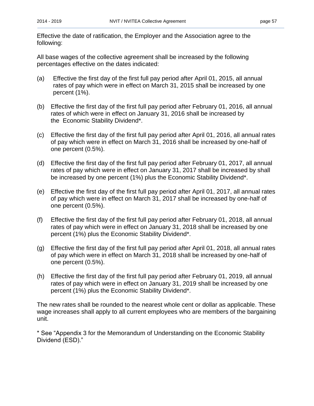Effective the date of ratification, the Employer and the Association agree to the following:

All base wages of the collective agreement shall be increased by the following percentages effective on the dates indicated:

- (a) Effective the first day of the first full pay period after April 01, 2015, all annual rates of pay which were in effect on March 31, 2015 shall be increased by one percent (1%).
- (b) Effective the first day of the first full pay period after February 01, 2016, all annual rates of which were in effect on January 31, 2016 shall be increased by the Economic Stability Dividend\*.
- (c) Effective the first day of the first full pay period after April 01, 2016, all annual rates of pay which were in effect on March 31, 2016 shall be increased by one-half of one percent (0.5%).
- (d) Effective the first day of the first full pay period after February 01, 2017, all annual rates of pay which were in effect on January 31, 2017 shall be increased by shall be increased by one percent (1%) plus the Economic Stability Dividend\*.
- (e) Effective the first day of the first full pay period after April 01, 2017, all annual rates of pay which were in effect on March 31, 2017 shall be increased by one-half of one percent (0.5%).
- (f) Effective the first day of the first full pay period after February 01, 2018, all annual rates of pay which were in effect on January 31, 2018 shall be increased by one percent (1%) plus the Economic Stability Dividend\*.
- (g) Effective the first day of the first full pay period after April 01, 2018, all annual rates of pay which were in effect on March 31, 2018 shall be increased by one-half of one percent (0.5%).
- (h) Effective the first day of the first full pay period after February 01, 2019, all annual rates of pay which were in effect on January 31, 2019 shall be increased by one percent (1%) plus the Economic Stability Dividend\*.

The new rates shall be rounded to the nearest whole cent or dollar as applicable. These wage increases shall apply to all current employees who are members of the bargaining unit.

\* See "Appendix 3 for the Memorandum of Understanding on the Economic Stability Dividend (ESD)."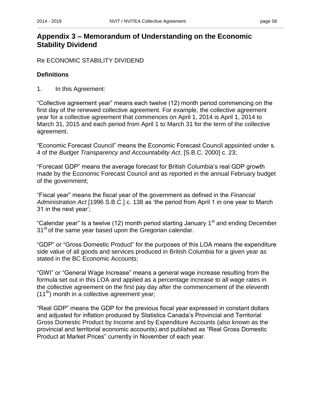## <span id="page-61-0"></span>**Appendix 3 – Memorandum of Understanding on the Economic Stability Dividend**

Re ECONOMIC STABILITY DIVIDEND

#### **Definitions**

1. In this Agreement:

"Collective agreement year" means each twelve (12) month period commencing on the first day of the renewed collective agreement. For example, the collective agreement year for a collective agreement that commences on April 1, 2014 is April 1, 2014 to March 31, 2015 and each period from April 1 to March 31 for the term of the collective agreement.

"Economic Forecast Council" means the Economic Forecast Council appointed under s. 4 of the *Budget Transparency and Accountability Act*, [S.B.C. 2000] c. 23;

"Forecast GDP" means the average forecast for British Columbia's real GDP growth made by the Economic Forecast Council and as reported in the annual February budget of the government;

"Fiscal year" means the fiscal year of the government as defined in the *Financial Administration Act* [1996 S.B.C.] c. 138 as 'the period from April 1 in one year to March 31 in the next year';

"Calendar year" Is a twelve (12) month period starting January 1<sup>st</sup> and ending December 31<sup>st</sup> of the same year based upon the Gregorian calendar.

"GDP" or "Gross Domestic Product" for the purposes of this LOA means the expenditure side value of all goods and services produced in British Columbia for a given year as stated in the BC Economic Accounts;

"GWI" or "General Wage Increase" means a general wage increase resulting from the formula set out in this LOA and applied as a percentage increase to all wage rates in the collective agreement on the first pay day after the commencement of the eleventh  $(11<sup>th</sup>)$  month in a collective agreement year;

"Real GDP" means the GDP for the previous fiscal year expressed in constant dollars and adjusted for inflation produced by Statistics Canada's Provincial and Territorial Gross Domestic Product by Income and by Expenditure Accounts (also known as the provincial and territorial economic accounts) and published as "Real Gross Domestic Product at Market Prices" currently in November of each year.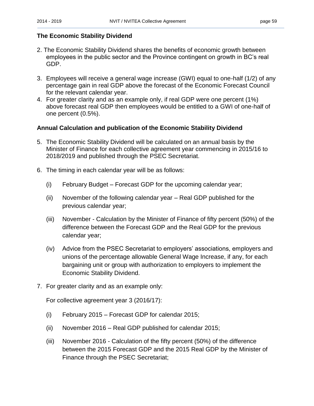#### **The Economic Stability Dividend**

- 2. The Economic Stability Dividend shares the benefits of economic growth between employees in the public sector and the Province contingent on growth in BC's real GDP.
- 3. Employees will receive a general wage increase (GWI) equal to one-half (1/2) of any percentage gain in real GDP above the forecast of the Economic Forecast Council for the relevant calendar year.
- 4. For greater clarity and as an example only, if real GDP were one percent (1%) above forecast real GDP then employees would be entitled to a GWI of one-half of one percent (0.5%).

#### **Annual Calculation and publication of the Economic Stability Dividend**

- 5. The Economic Stability Dividend will be calculated on an annual basis by the Minister of Finance for each collective agreement year commencing in 2015/16 to 2018/2019 and published through the PSEC Secretariat.
- 6. The timing in each calendar year will be as follows:
	- (i) February Budget Forecast GDP for the upcoming calendar year;
	- (ii) November of the following calendar year Real GDP published for the previous calendar year;
	- (iii) November Calculation by the Minister of Finance of fifty percent (50%) of the difference between the Forecast GDP and the Real GDP for the previous calendar year;
	- (iv) Advice from the PSEC Secretariat to employers' associations, employers and unions of the percentage allowable General Wage Increase, if any, for each bargaining unit or group with authorization to employers to implement the Economic Stability Dividend.
- 7. For greater clarity and as an example only:

For collective agreement year 3 (2016/17):

- (i) February 2015 Forecast GDP for calendar 2015;
- (ii) November 2016 Real GDP published for calendar 2015;
- (iii) November 2016 Calculation of the fifty percent (50%) of the difference between the 2015 Forecast GDP and the 2015 Real GDP by the Minister of Finance through the PSEC Secretariat;